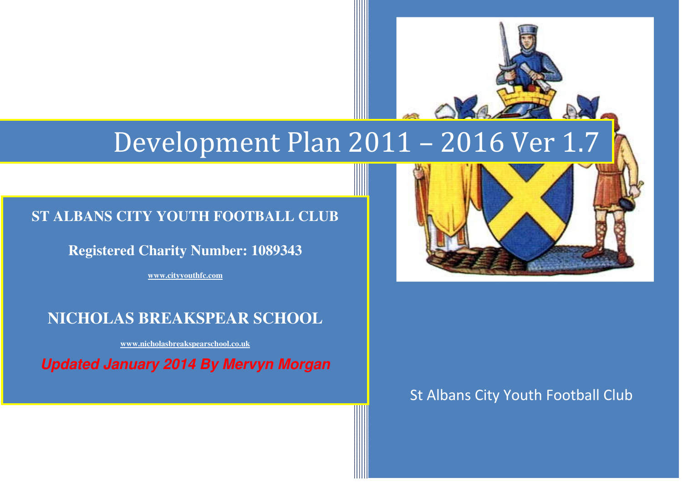# Development Plan 2011 – 2016 Ver 1.7

# **ST ALBANS CITY YOUTH FOOTBALL CLUB**

**Registered Charity Number: 1089343** 

**www.cityyouthfc.com**

# **NICHOLAS BREAKSPEAR SCHOOL**

**www.nicholasbreakspearschool.co.uk**

**Updated January 2014 By Mervyn Morgan** 



# St Albans City Youth Football Club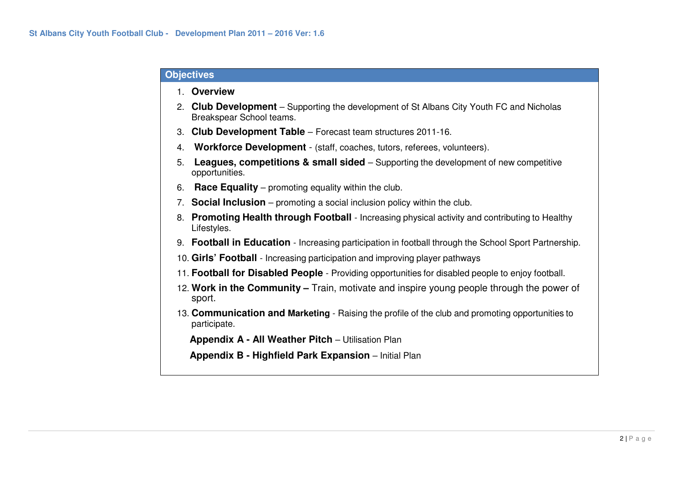# **Objectives**

- 1. **Overview**
- 2. **Club Development** Supporting the development of St Albans City Youth FC and Nicholas Breakspear School teams.
- 3. **Club Development Table** Forecast team structures 2011-16.
- 4. **Workforce Development** (staff, coaches, tutors, referees, volunteers).
- 5. **Leagues, competitions & small sided** Supporting the development of new competitive opportunities.
- 6. **Race Equality** promoting equality within the club.
- 7. **Social Inclusion** promoting a social inclusion policy within the club.
- 8. **Promoting Health through Football** Increasing physical activity and contributing to Healthy Lifestyles.
- 9. **Football in Education** Increasing participation in football through the School Sport Partnership.
- 10. **Girls' Football** Increasing participation and improving player pathways
- 11. **Football for Disabled People** Providing opportunities for disabled people to enjoy football.
- 12. **Work in the Community** Train, motivate and inspire young people through the power of sport.
- 13. **Communication and Marketing** Raising the profile of the club and promoting opportunities to participate.

**Appendix A - All Weather Pitch** – Utilisation Plan

**Appendix B - Highfield Park Expansion** – Initial Plan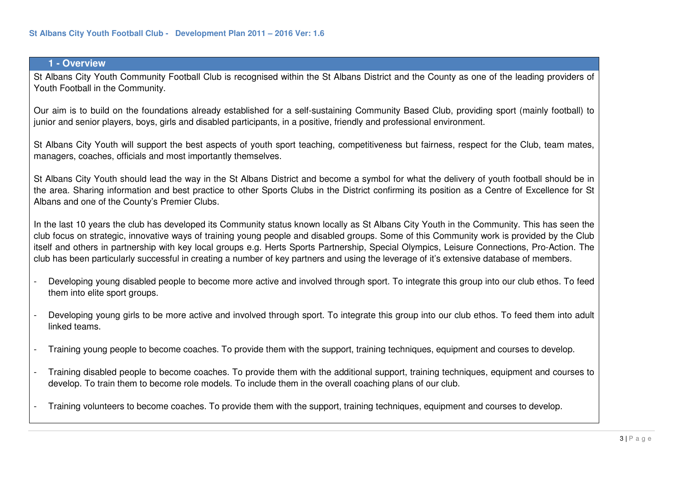# **1 - Overview**

St Albans City Youth Community Football Club is recognised within the St Albans District and the County as one of the leading providers of Youth Football in the Community.

Our aim is to build on the foundations already established for a self-sustaining Community Based Club, providing sport (mainly football) to junior and senior players, boys, girls and disabled participants, in a positive, friendly and professional environment.

St Albans City Youth will support the best aspects of youth sport teaching, competitiveness but fairness, respect for the Club, team mates, managers, coaches, officials and most importantly themselves.

St Albans City Youth should lead the way in the St Albans District and become a symbol for what the delivery of youth football should be in the area. Sharing information and best practice to other Sports Clubs in the District confirming its position as a Centre of Excellence for St Albans and one of the County's Premier Clubs.

In the last 10 years the club has developed its Community status known locally as St Albans City Youth in the Community. This has seen the club focus on strategic, innovative ways of training young people and disabled groups. Some of this Community work is provided by the Club itself and others in partnership with key local groups e.g. Herts Sports Partnership, Special Olympics, Leisure Connections, Pro-Action. The club has been particularly successful in creating a number of key partners and using the leverage of it's extensive database of members.

- Developing young disabled people to become more active and involved through sport. To integrate this group into our club ethos. To feed them into elite sport groups.
- Developing young girls to be more active and involved through sport. To integrate this group into our club ethos. To feed them into adult linked teams.
- Training young people to become coaches. To provide them with the support, training techniques, equipment and courses to develop.
- Training disabled people to become coaches. To provide them with the additional support, training techniques, equipment and courses to develop. To train them to become role models. To include them in the overall coaching plans of our club.
- Training volunteers to become coaches. To provide them with the support, training techniques, equipment and courses to develop.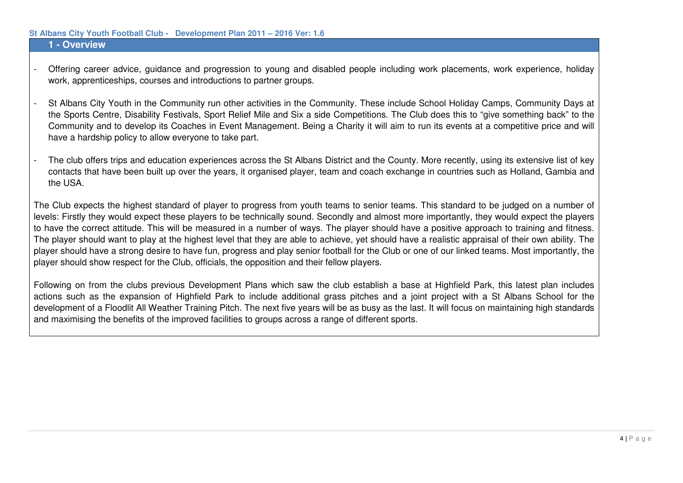# **1 - Overview**

- Offering career advice, guidance and progression to young and disabled people including work placements, work experience, holiday work, apprenticeships, courses and introductions to partner groups.
- St Albans City Youth in the Community run other activities in the Community. These include School Holiday Camps, Community Days at the Sports Centre, Disability Festivals, Sport Relief Mile and Six a side Competitions. The Club does this to "give something back" to the Community and to develop its Coaches in Event Management. Being a Charity it will aim to run its events at a competitive price and will have a hardship policy to allow everyone to take part.
- The club offers trips and education experiences across the St Albans District and the County. More recently, using its extensive list of key contacts that have been built up over the years, it organised player, team and coach exchange in countries such as Holland, Gambia and the USA.

The Club expects the highest standard of player to progress from youth teams to senior teams. This standard to be judged on a number of levels: Firstly they would expect these players to be technically sound. Secondly and almost more importantly, they would expect the players to have the correct attitude. This will be measured in a number of ways. The player should have a positive approach to training and fitness. The player should want to play at the highest level that they are able to achieve, yet should have a realistic appraisal of their own ability. The player should have a strong desire to have fun, progress and play senior football for the Club or one of our linked teams. Most importantly, the player should show respect for the Club, officials, the opposition and their fellow players.

Following on from the clubs previous Development Plans which saw the club establish a base at Highfield Park, this latest plan includes actions such as the expansion of Highfield Park to include additional grass pitches and a joint project with a St Albans School for the development of a Floodlit All Weather Training Pitch. The next five years will be as busy as the last. It will focus on maintaining high standards and maximising the benefits of the improved facilities to groups across a range of different sports.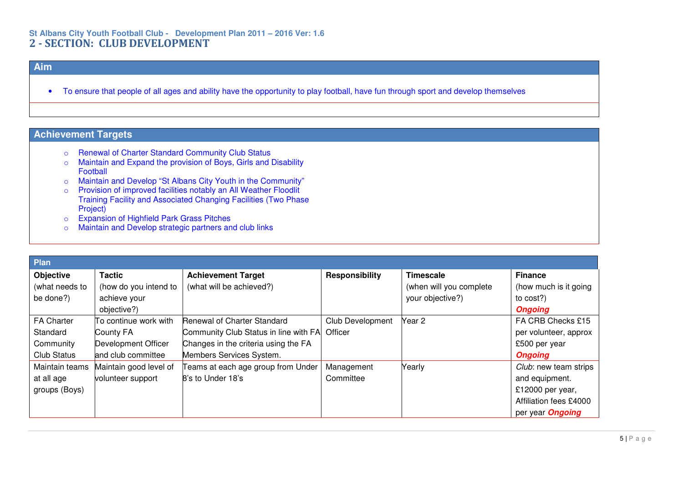# **Aim**

• To ensure that people of all ages and ability have the opportunity to play football, have fun through sport and develop themselves

- 
- o Renewal of Charter Standard Community Club Status<br>○ Maintain and Expand the provision of Boys, Girls and Disability Football
- o Maintain and Develop "St Albans City Youth in the Community"
- o Provision of improved facilities notably an All Weather Floodlit Training Facility and Associated Changing Facilities (Two Phase Project)
- o Expansion of Highfield Park Grass Pitches
- o Maintain and Develop strategic partners and club links

| Plan               |                            |                                       |                         |                         |                         |
|--------------------|----------------------------|---------------------------------------|-------------------------|-------------------------|-------------------------|
| <b>Objective</b>   | <b>Tactic</b>              | <b>Achievement Target</b>             | Responsibility          | <b>Timescale</b>        | <b>Finance</b>          |
| (what needs to     | (how do you intend to      | (what will be achieved?)              |                         | (when will you complete | (how much is it going   |
| be done?)          | achieve your               |                                       |                         | your objective?)        | to cost?)               |
|                    | objective?)                |                                       |                         |                         | <b>Ongoing</b>          |
| <b>FA Charter</b>  | To continue work with      | Renewal of Charter Standard           | <b>Club Development</b> | Year <sub>2</sub>       | FA CRB Checks £15       |
| Standard           | County FA                  | Community Club Status in line with FA | Officer                 |                         | per volunteer, approx   |
| Community          | <b>Development Officer</b> | Changes in the criteria using the FA  |                         |                         | £500 per year           |
| <b>Club Status</b> | and club committee         | Members Services System.              |                         |                         | <b>Ongoing</b>          |
| Maintain teams     | Maintain good level of     | Teams at each age group from Under    | Management              | Yearly                  | Club: new team strips   |
| at all age         | volunteer support          | 8's to Under 18's                     | Committee               |                         | and equipment.          |
| groups (Boys)      |                            |                                       |                         |                         | £12000 per year,        |
|                    |                            |                                       |                         |                         | Affiliation fees £4000  |
|                    |                            |                                       |                         |                         | per year <b>Ongoing</b> |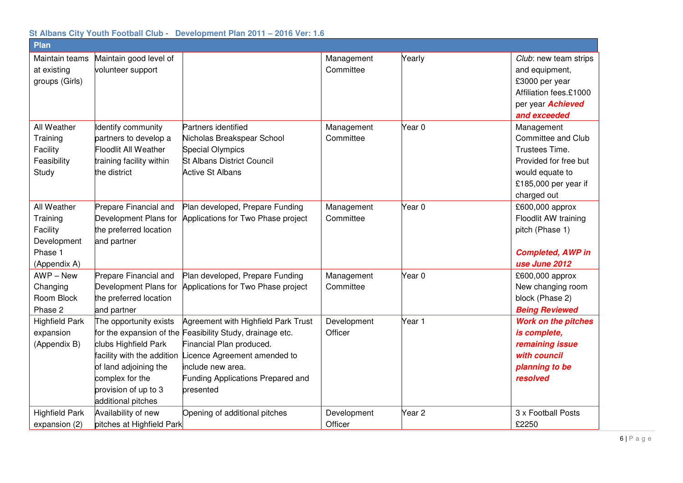| <b>Plan</b>                                                                   |                                                                                                                                                                                                    |                                                                                                                                                                                                            |                         |                   |                                                                                                                                       |
|-------------------------------------------------------------------------------|----------------------------------------------------------------------------------------------------------------------------------------------------------------------------------------------------|------------------------------------------------------------------------------------------------------------------------------------------------------------------------------------------------------------|-------------------------|-------------------|---------------------------------------------------------------------------------------------------------------------------------------|
| Maintain teams<br>at existing<br>groups (Girls)                               | Maintain good level of<br>volunteer support                                                                                                                                                        |                                                                                                                                                                                                            | Management<br>Committee | Yearly            | Club: new team strips<br>and equipment,<br>£3000 per year<br>Affiliation fees.£1000<br>per year <b>Achieved</b><br>and exceeded       |
| All Weather<br>Training<br>Facility<br>Feasibility<br>Study                   | Identify community<br>partners to develop a<br><b>Floodlit All Weather</b><br>training facility within<br>the district                                                                             | Partners identified<br>Nicholas Breakspear School<br>Special Olympics<br><b>St Albans District Council</b><br><b>Active St Albans</b>                                                                      | Management<br>Committee | Year <sub>0</sub> | Management<br>Committee and Club<br>Trustees Time.<br>Provided for free but<br>would equate to<br>£185,000 per year if<br>charged out |
| All Weather<br>Training<br>Facility<br>Development<br>Phase 1<br>(Appendix A) | Prepare Financial and<br>Development Plans for<br>the preferred location<br>and partner                                                                                                            | Plan developed, Prepare Funding<br>Applications for Two Phase project                                                                                                                                      | Management<br>Committee | Year <sub>0</sub> | £600,000 approx<br>Floodlit AW training<br>pitch (Phase 1)<br><b>Completed, AWP in</b><br>use June 2012                               |
| $AWP - New$<br>Changing<br>Room Block<br>Phase 2                              | Prepare Financial and<br>Development Plans for<br>the preferred location<br>and partner                                                                                                            | Plan developed, Prepare Funding<br>Applications for Two Phase project                                                                                                                                      | Management<br>Committee | Year 0            | £600,000 approx<br>New changing room<br>block (Phase 2)<br><b>Being Reviewed</b>                                                      |
| <b>Highfield Park</b><br>expansion<br>(Appendix B)                            | The opportunity exists<br>for the expansion of the<br>clubs Highfield Park<br>facility with the addition<br>of land adjoining the<br>complex for the<br>provision of up to 3<br>additional pitches | Agreement with Highfield Park Trust<br>Feasibility Study, drainage etc.<br>Financial Plan produced.<br>Licence Agreement amended to<br>include new area.<br>Funding Applications Prepared and<br>presented | Development<br>Officer  | Year 1            | <b>Work on the pitches</b><br>is complete,<br>remaining issue<br>with council<br>planning to be<br>resolved                           |
| <b>Highfield Park</b><br>expansion (2)                                        | Availability of new<br>pitches at Highfield Park                                                                                                                                                   | Opening of additional pitches                                                                                                                                                                              | Development<br>Officer  | Year <sub>2</sub> | 3 x Football Posts<br>£2250                                                                                                           |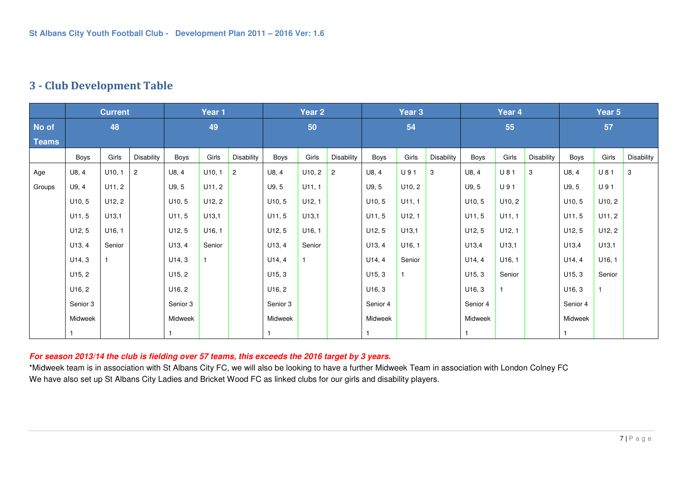# **3 - Club Development Table**

|              |          | <b>Current</b> |                   |          | Year 1       |                |          | Year 2   |                |          | Year <sub>3</sub> |            |                     | Year 4 |            |          | Year 5 |            |
|--------------|----------|----------------|-------------------|----------|--------------|----------------|----------|----------|----------------|----------|-------------------|------------|---------------------|--------|------------|----------|--------|------------|
| No of        |          | 48             |                   |          | 49           |                |          | 50       |                |          | 54                |            |                     | 55     |            |          | 57     |            |
| <b>Teams</b> |          |                |                   |          |              |                |          |          |                |          |                   |            |                     |        |            |          |        |            |
|              | Boys     | Girls          | <b>Disability</b> | Boys     | Girls        | Disability     | Boys     | Girls    | Disability     | Boys     | Girls             | Disability | Boys                | Girls  | Disability | Boys     | Girls  | Disability |
| Age          | UB, 4    | U10, 1         | $\overline{c}$    | U8, 4    | U10, 1       | $\overline{2}$ | U8, 4    | U10, 2   | $\overline{2}$ | U8, 4    | U 91              | 3          | U8, 4               | U 81   | 3          | U8, 4    | U 81   | 3          |
| Groups       | U9, 4    | U11, 2         |                   | U9, 5    | U11, 2       |                | U9, 5    | U11, 1   |                | U9, 5    | U10, 2            |            | U9, 5               | U 91   |            | U9, 5    | U 91   |            |
|              | U10, 5   | U12, 2         |                   | U10, 5   | U12, 2       |                | U10, 5   | U12, 1   |                | U10, 5   | U11, 1            |            | U10, 5              | U10, 2 |            | U10, 5   | U10, 2 |            |
|              | U11, 5   | U13,1          |                   | U11, 5   | U13,1        |                | U11, 5   | $U$ 13,1 |                | U11, 5   | U12, 1            |            | U11, 5              | U11, 1 |            | U11, 5   | U11, 2 |            |
|              | U12, 5   | U16, 1         |                   | U12, 5   | U16, 1       |                | U12, 5   | U16, 1   |                | U12, 5   | U13,1             |            | U12, 5              | U12, 1 |            | U12, 5   | U12, 2 |            |
|              | U13, 4   | Senior         |                   | U13, 4   | Senior       |                | U13, 4   | Senior   |                | U13, 4   | U16, 1            |            | U13,4               | U13,1  |            | U13,4    | U13,1  |            |
|              | U14, 3   |                |                   | U14, 3   | $\mathbf{1}$ |                | U14, 4   |          |                | U14, 4   | Senior            |            | U14, 4              | U16, 1 |            | U14, 4   | U16, 1 |            |
|              | U15, 2   |                |                   | U15, 2   |              |                | U15, 3   |          |                | U15, 3   |                   |            | U15, 3              | Senior |            | U15, 3   | Senior |            |
|              | U16, 2   |                |                   | U16, 2   |              |                | U16, 2   |          |                | U16, 3   |                   |            | U <sub>16</sub> , 3 |        |            | U16, 3   |        |            |
|              | Senior 3 |                |                   | Senior 3 |              |                | Senior 3 |          |                | Senior 4 |                   |            | Senior 4            |        |            | Senior 4 |        |            |
|              | Midweek  |                |                   | Midweek  |              |                | Midweek  |          |                | Midweek  |                   |            | Midweek             |        |            | Midweek  |        |            |
|              |          |                |                   |          |              |                |          |          |                |          |                   |            |                     |        |            |          |        |            |

# **For season 2013/14 the club is fielding over 57 teams, this exceeds the 2016 target by 3 years.**

 \*Midweek team is in association with St Albans City FC, we will also be looking to have a further Midweek Team in association with London Colney FC We have also set up St Albans City Ladies and Bricket Wood FC as linked clubs for our girls and disability players.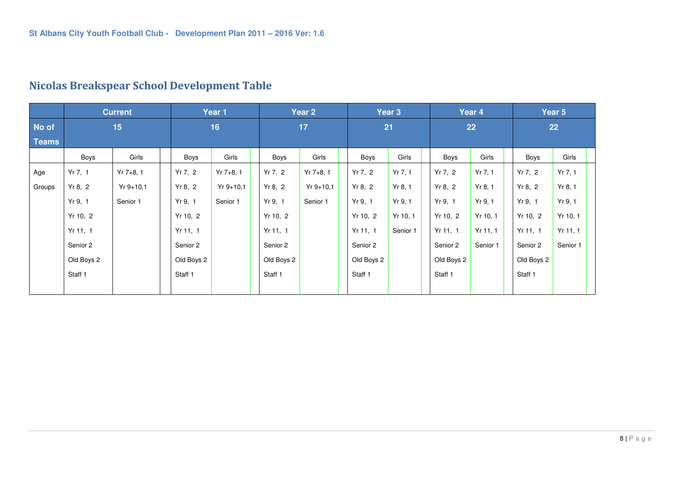# **Nicolas Breakspear School Development Table**

|              |            | <b>Current</b> |            | Year 1      |            | Year 2      |            | Year 3   |            | Year 4   |            | Year 5   |  |
|--------------|------------|----------------|------------|-------------|------------|-------------|------------|----------|------------|----------|------------|----------|--|
| No of        |            | 15             | 16         |             |            | 17          |            | 21       |            | 22       |            | 22       |  |
| <b>Teams</b> |            |                |            |             |            |             |            |          |            |          |            |          |  |
|              | Boys       | Girls          | Boys       | Girls       | Boys       | Girls       | Boys       | Girls    | Boys       | Girls    | Boys       | Girls    |  |
| Age          | Yr 7, 1    | $Yr 7+8, 1$    | Yr 7, 2    | $Yr 7+8, 1$ | Yr 7, 2    | $Yr 7+8, 1$ | Yr 7, 2    | Yr 7, 1  | Yr 7, 2    | Yr 7, 1  | Yr 7, 2    | Yr 7, 1  |  |
| Groups       | Yr 8, 2    | $Yr 9+10.1$    | Yr 8, 2    | $Yr 9+10,1$ | Yr 8, 2    | $Yr 9+10,1$ | Yr 8, 2    | Yr 8, 1  | Yr 8, 2    | Yr 8, 1  | Yr 8, 2    | Yr 8, 1  |  |
|              | Yr 9, 1    | Senior 1       | Yr9, 1     | Senior 1    | Yr 9, 1    | Senior 1    | Yr 9, 1    | Yr 9, 1  | Yr 9, 1    | Yr9, 1   | Yr 9, 1    | Yr 9, 1  |  |
|              | Yr 10, 2   |                | Yr 10, 2   |             | Yr 10, 2   |             | Yr 10, 2   | Yr 10, 1 | Yr 10, 2   | Yr 10, 1 | Yr 10, 2   | Yr 10, 1 |  |
|              | Yr 11, 1   |                | Yr 11, 1   |             | Yr 11, 1   |             | Yr 11, 1   | Senior 1 | Yr 11, 1   | Yr 11, 1 | Yr 11, 1   | Yr 11, 1 |  |
|              | Senior 2   |                | Senior 2   |             | Senior 2   |             | Senior 2   |          | Senior 2   | Senior 1 | Senior 2   | Senior 1 |  |
|              | Old Boys 2 |                | Old Boys 2 |             | Old Boys 2 |             | Old Boys 2 |          | Old Boys 2 |          | Old Boys 2 |          |  |
|              | Staff 1    |                | Staff 1    |             | Staff 1    |             | Staff 1    |          | Staff 1    |          | Staff 1    |          |  |
|              |            |                |            |             |            |             |            |          |            |          |            |          |  |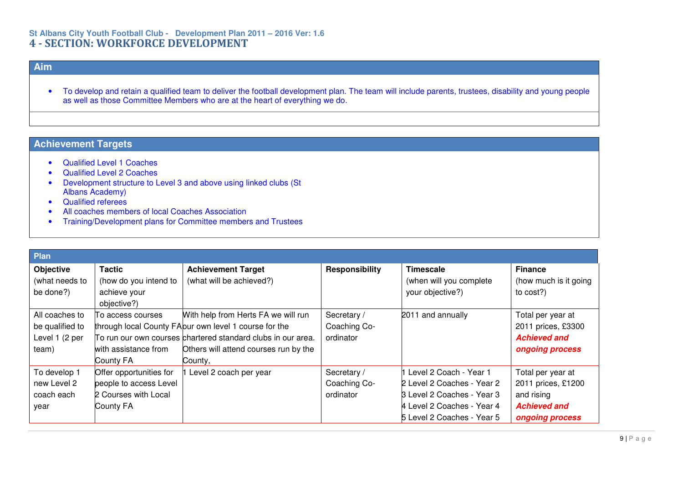# **St Albans City Youth Football Club - Development Plan 2011 – 2016 Ver: 1.6 4 - SECTION: WORKFORCE DEVELOPMENT**

# **Aim**

• To develop and retain a qualified team to deliver the football development plan. The team will include parents, trustees, disability and young people as well as those Committee Members who are at the heart of everything we do.

- Qualified Level 1 Coaches
- Qualified Level 2 Coaches
- Development structure to Level 3 and above using linked clubs (St Albans Academy)
- Qualified referees
- All coaches members of local Coaches Association
- Training/Development plans for Committee members and Trustees

| Plan                                                         |                                                                                        |                                                                                                                                                                                                                   |                                          |                                                                                                                                                |                                                                                                 |
|--------------------------------------------------------------|----------------------------------------------------------------------------------------|-------------------------------------------------------------------------------------------------------------------------------------------------------------------------------------------------------------------|------------------------------------------|------------------------------------------------------------------------------------------------------------------------------------------------|-------------------------------------------------------------------------------------------------|
| Objective<br>(what needs to<br>be done?)                     | <b>Tactic</b><br>(how do you intend to<br>achieve your<br>objective?)                  | <b>Achievement Target</b><br>(what will be achieved?)                                                                                                                                                             | Responsibility                           | Timescale<br>(when will you complete<br>your objective?)                                                                                       | <b>Finance</b><br>(how much is it going<br>to cost?)                                            |
| All coaches to<br>be qualified to<br>Level 1 (2 per<br>team) | To access courses<br>with assistance from<br>County FA                                 | With help from Herts FA we will run<br>through local County FA our own level 1 course for the<br>To run our own courses chartered standard clubs in our area.<br>Others will attend courses run by the<br>County, | Secretary /<br>Coaching Co-<br>ordinator | 2011 and annually                                                                                                                              | Total per year at<br>2011 prices, £3300<br><b>Achieved and</b><br>ongoing process               |
| To develop 1<br>new Level 2<br>coach each<br>year            | Offer opportunities for<br>people to access Level<br>2 Courses with Local<br>County FA | Level 2 coach per year                                                                                                                                                                                            | Secretary /<br>Coaching Co-<br>ordinator | Level 2 Coach - Year 1<br>2 Level 2 Coaches - Year 2<br>3 Level 2 Coaches - Year 3<br>4 Level 2 Coaches - Year 4<br>5 Level 2 Coaches - Year 5 | Total per year at<br>2011 prices, £1200<br>and rising<br><b>Achieved and</b><br>ongoing process |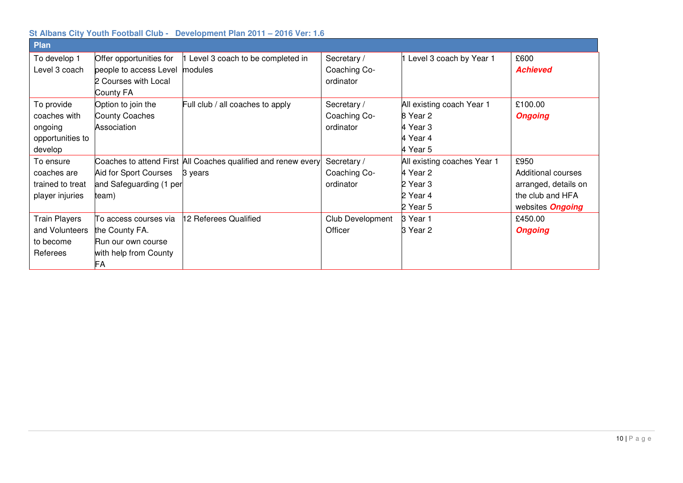| Plan                 |                                | U ANG DIYO U TURITI UU WATUU U DUVUU MITUTI TATI LUTTU LUTTU TUTTU |                         |                             |                         |
|----------------------|--------------------------------|--------------------------------------------------------------------|-------------------------|-----------------------------|-------------------------|
| To develop 1         | Offer opportunities for        | 1 Level 3 coach to be completed in                                 | Secretary /             | Level 3 coach by Year 1     | £600                    |
| Level 3 coach        | people to access Level modules |                                                                    | Coaching Co-            |                             | <b>Achieved</b>         |
|                      | 2 Courses with Local           |                                                                    | ordinator               |                             |                         |
|                      | County FA                      |                                                                    |                         |                             |                         |
| To provide           | Option to join the             | Full club / all coaches to apply                                   | Secretary /             | All existing coach Year 1   | £100.00                 |
| coaches with         | <b>County Coaches</b>          |                                                                    | Coaching Co-            | 8 Year 2                    | <b>Ongoing</b>          |
| ongoing              | Association                    |                                                                    | ordinator               | 4 Year 3                    |                         |
| opportunities to     |                                |                                                                    |                         | 4 Year 4                    |                         |
| develop              |                                |                                                                    |                         | 4 Year 5                    |                         |
| To ensure            |                                | Coaches to attend First All Coaches qualified and renew every      | Secretary /             | All existing coaches Year 1 | £950                    |
| coaches are          | Aid for Sport Courses          | 3 years                                                            | Coaching Co-            | 4 Year 2                    | Additional courses      |
| trained to treat     | and Safeguarding (1 per        |                                                                    | ordinator               | 2 Year 3                    | arranged, details on    |
| player injuries      | team)                          |                                                                    |                         | 2 Year 4                    | the club and HFA        |
|                      |                                |                                                                    |                         | 2 Year 5                    | websites <b>Ongoing</b> |
| <b>Train Players</b> | To access courses via          | 12 Referees Qualified                                              | <b>Club Development</b> | 3 Year 1                    | £450.00                 |
| and Volunteers       | the County FA.                 |                                                                    | Officer                 | 3 Year 2                    | <b>Ongoing</b>          |
| to become            | Run our own course             |                                                                    |                         |                             |                         |
| Referees             | with help from County          |                                                                    |                         |                             |                         |
|                      | FA                             |                                                                    |                         |                             |                         |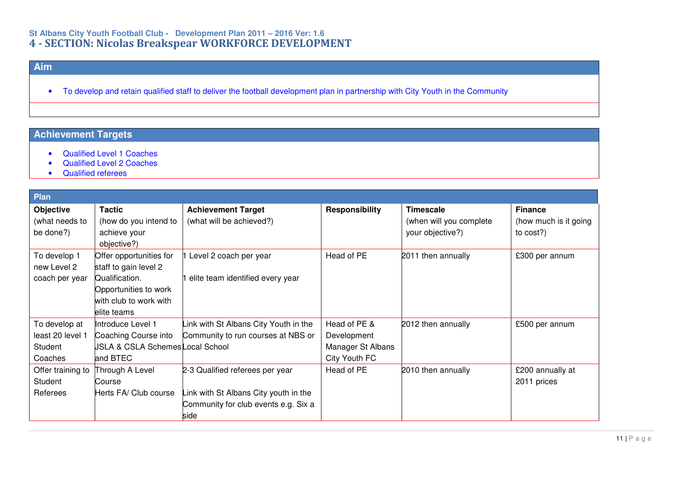# **St Albans City Youth Football Club - Development Plan 2011 – 2016 Ver: 1.6 4 - SECTION: Nicolas Breakspear WORKFORCE DEVELOPMENT**

# **Aim**

• To develop and retain qualified staff to deliver the football development plan in partnership with City Youth in the Community

- Qualified Level 1 Coaches
- Qualified Level 2 Coaches
- Qualified referees

| Plan                                                    |                                                                                                      |                                                                                                                          |                                                                   |                                                                 |                                                      |
|---------------------------------------------------------|------------------------------------------------------------------------------------------------------|--------------------------------------------------------------------------------------------------------------------------|-------------------------------------------------------------------|-----------------------------------------------------------------|------------------------------------------------------|
| Objective<br>(what needs to<br>be done?)                | <b>Tactic</b><br>(how do you intend to<br>achieve your<br>objective?)                                | <b>Achievement Target</b><br>(what will be achieved?)                                                                    | <b>Responsibility</b>                                             | <b>Timescale</b><br>(when will you complete<br>your objective?) | <b>Finance</b><br>(how much is it going<br>to cost?) |
| To develop 1<br>new Level 2                             | Offer opportunities for<br>staff to gain level 2                                                     | Level 2 coach per year                                                                                                   | Head of PE                                                        | 2011 then annually                                              | £300 per annum                                       |
| coach per year                                          | Qualification.<br>Opportunities to work<br>with club to work with<br>elite teams                     | elite team identified every year                                                                                         |                                                                   |                                                                 |                                                      |
| To develop at<br>least 20 level 1<br>Student<br>Coaches | Introduce Level 1<br>Coaching Course into<br><b>JSLA &amp; CSLA Schemes Local School</b><br>and BTEC | Link with St Albans City Youth in the<br>Community to run courses at NBS or                                              | Head of PE &<br>Development<br>Manager St Albans<br>City Youth FC | 2012 then annually                                              | £500 per annum                                       |
| Offer training to<br>Student<br>Referees                | Through A Level<br>Course<br>Herts FA/ Club course                                                   | 2-3 Qualified referees per year<br>Link with St Albans City youth in the<br>Community for club events e.g. Six a<br>side | Head of PE                                                        | 2010 then annually                                              | £200 annually at<br>2011 prices                      |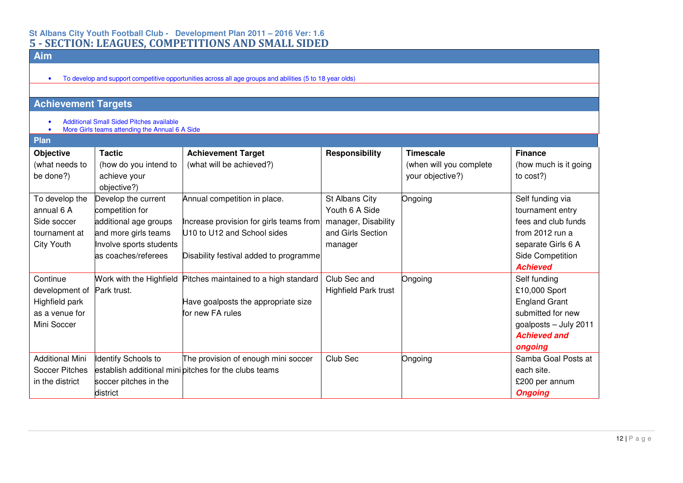# **St Albans City Youth Football Club - Development Plan 2011 – 2016 Ver: 1.6 5 - SECTION: LEAGUES, COMPETITIONS AND SMALL SIDED**

# **Aim**

• To develop and support competitive opportunities across all age groups and abilities (5 to 18 year olds)

- Additional Small Sided Pitches available
- More Girls teams attending the Annual 6 A Side

| <b>Plan</b>                                                                       |                                                                                                                                           |                                                                                                                                                  |                                                                                         |                                                                 |                                                                                                                                             |
|-----------------------------------------------------------------------------------|-------------------------------------------------------------------------------------------------------------------------------------------|--------------------------------------------------------------------------------------------------------------------------------------------------|-----------------------------------------------------------------------------------------|-----------------------------------------------------------------|---------------------------------------------------------------------------------------------------------------------------------------------|
| Objective<br>(what needs to<br>be done?)                                          | <b>Tactic</b><br>(how do you intend to<br>achieve your<br>objective?)                                                                     | <b>Achievement Target</b><br>(what will be achieved?)                                                                                            | <b>Responsibility</b>                                                                   | <b>Timescale</b><br>(when will you complete<br>your objective?) | <b>Finance</b><br>(how much is it going<br>to cost?)                                                                                        |
| To develop the<br>annual 6 A<br>Side soccer<br>tournament at<br><b>City Youth</b> | Develop the current<br>competition for<br>additional age groups<br>and more girls teams<br>Involve sports students<br>as coaches/referees | Annual competition in place.<br>Increase provision for girls teams from<br>U10 to U12 and School sides<br>Disability festival added to programme | St Albans City<br>Youth 6 A Side<br>manager, Disability<br>and Girls Section<br>manager | Ongoing                                                         | Self funding via<br>tournament entry<br>fees and club funds<br>from 2012 run a<br>separate Girls 6 A<br>Side Competition<br><b>Achieved</b> |
| Continue<br>development of<br>Highfield park<br>as a venue for<br>Mini Soccer     | Work with the Highfield<br>Park trust.                                                                                                    | Pitches maintained to a high standard<br>Have goalposts the appropriate size<br>for new FA rules                                                 | Club Sec and<br><b>Highfield Park trust</b>                                             | Ongoing                                                         | Self funding<br>£10,000 Sport<br><b>England Grant</b><br>submitted for new<br>goalposts - July 2011<br><b>Achieved and</b><br>ongoing       |
| <b>Additional Mini</b><br><b>Soccer Pitches</b><br>in the district                | Identify Schools to<br>soccer pitches in the<br>district                                                                                  | The provision of enough mini soccer<br>establish additional minipitches for the clubs teams                                                      | Club Sec                                                                                | Ongoing                                                         | Samba Goal Posts at<br>each site.<br>£200 per annum<br><b>Ongoing</b>                                                                       |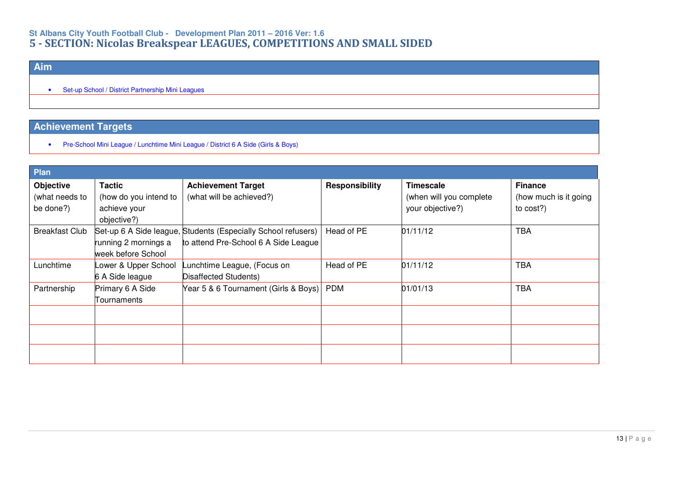# **St Albans City Youth Football Club - Development Plan 2011 – 2016 Ver: 1.6 5 - SECTION: Nicolas Breakspear LEAGUES, COMPETITIONS AND SMALL SIDED**

# **Aim**

• Set-up School / District Partnership Mini Leagues

# **Achievement Targets**

• Pre-School Mini League / Lunchtime Mini League / District 6 A Side (Girls & Boys)

| Plan                                            |                                                                       |                                                                                                       |                       |                                                                 |                                                      |
|-------------------------------------------------|-----------------------------------------------------------------------|-------------------------------------------------------------------------------------------------------|-----------------------|-----------------------------------------------------------------|------------------------------------------------------|
| <b>Objective</b><br>(what needs to<br>be done?) | <b>Tactic</b><br>(how do you intend to<br>achieve your<br>objective?) | <b>Achievement Target</b><br>(what will be achieved?)                                                 | <b>Responsibility</b> | <b>Timescale</b><br>(when will you complete<br>your objective?) | <b>Finance</b><br>(how much is it going<br>to cost?) |
| <b>Breakfast Club</b>                           | running 2 mornings a<br>week before School                            | Set-up 6 A Side league, Students (Especially School refusers)<br>to attend Pre-School 6 A Side League | Head of PE            | 01/11/12                                                        | <b>TBA</b>                                           |
| Lunchtime                                       | Lower & Upper School<br>6 A Side league                               | Lunchtime League, (Focus on<br>Disaffected Students)                                                  | Head of PE            | 01/11/12                                                        | <b>TBA</b>                                           |
| Partnership                                     | Primary 6 A Side<br>Tournaments                                       | Year 5 & 6 Tournament (Girls & Boys)                                                                  | <b>PDM</b>            | 01/01/13                                                        | <b>TBA</b>                                           |
|                                                 |                                                                       |                                                                                                       |                       |                                                                 |                                                      |
|                                                 |                                                                       |                                                                                                       |                       |                                                                 |                                                      |
|                                                 |                                                                       |                                                                                                       |                       |                                                                 |                                                      |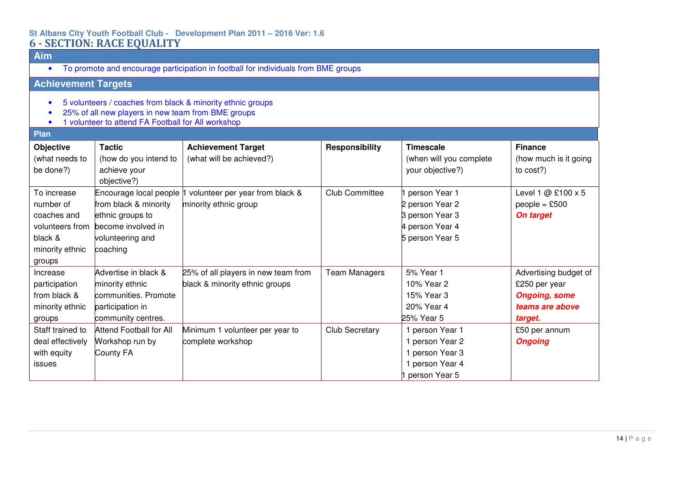# **6 - SECTION: RACE EQUALITY**

# **Aim**

• To promote and encourage participation in football for individuals from BME groups

# **Achievement Targets**

- 5 volunteers / coaches from black & minority ethnic groups
- 
- 25% of all new players in new team from BME groups 1 volunteer to attend FA Football for All workshop

# **Plan**

| птан                        |                                           |                                                       |                       |                                             |                                         |
|-----------------------------|-------------------------------------------|-------------------------------------------------------|-----------------------|---------------------------------------------|-----------------------------------------|
| Objective<br>(what needs to | <b>Tactic</b><br>(how do you intend to    | <b>Achievement Target</b><br>(what will be achieved?) | <b>Responsibility</b> | <b>Timescale</b><br>(when will you complete | <b>Finance</b><br>(how much is it going |
| be done?)                   | achieve your<br>objective?)               |                                                       |                       | your objective?)                            | to cost?)                               |
| To increase                 | Encourage local people                    | volunteer per year from black &                       | <b>Club Committee</b> | person Year 1                               | Level 1 @ £100 x 5                      |
| number of<br>coaches and    | from black & minority<br>ethnic groups to | minority ethnic group                                 |                       | 2 person Year 2<br>3 person Year 3          | $people = £500$<br>On target            |
| volunteers from             | become involved in                        |                                                       |                       | 4 person Year 4                             |                                         |
| black &                     | volunteering and                          |                                                       |                       | 5 person Year 5                             |                                         |
| minority ethnic             | coaching                                  |                                                       |                       |                                             |                                         |
| groups<br>Increase          | Advertise in black &                      | 25% of all players in new team from                   | <b>Team Managers</b>  | 5% Year 1                                   | Advertising budget of                   |
| participation               | minority ethnic                           | black & minority ethnic groups                        |                       | 10% Year 2                                  | £250 per year                           |
| from black &                | communities. Promote                      |                                                       |                       | 15% Year 3                                  | <b>Ongoing, some</b>                    |
| minority ethnic<br>groups   | participation in<br>community centres.    |                                                       |                       | 20% Year 4<br>25% Year 5                    | teams are above<br>target.              |
| Staff trained to            | <b>Attend Football for All</b>            | Minimum 1 volunteer per year to                       | Club Secretary        | 1 person Year 1                             | £50 per annum                           |
| deal effectively            | Workshop run by                           | complete workshop                                     |                       | 1 person Year 2                             | <b>Ongoing</b>                          |
| with equity                 | County FA                                 |                                                       |                       | 1 person Year 3                             |                                         |
| issues                      |                                           |                                                       |                       | 1 person Year 4                             |                                         |
|                             |                                           |                                                       |                       | person Year 5                               |                                         |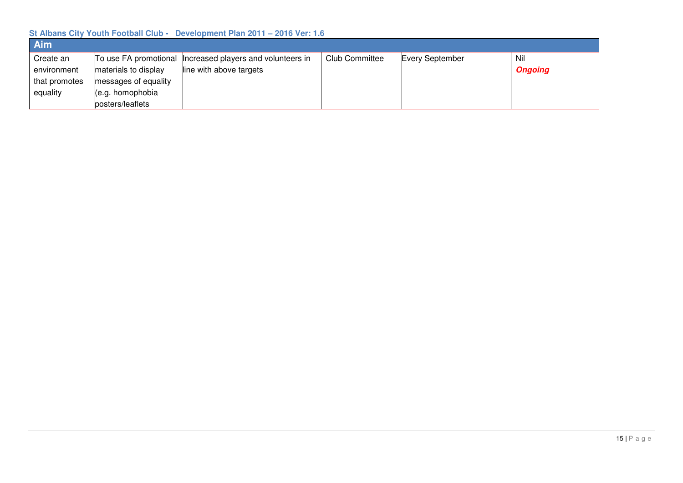| Aim.          |                      |                                                           |                       |                        |                |
|---------------|----------------------|-----------------------------------------------------------|-----------------------|------------------------|----------------|
| Create an     |                      | To use FA promotional Increased players and volunteers in | <b>Club Committee</b> | <b>Every September</b> | Nil            |
| environment   | materials to display | line with above targets                                   |                       |                        | <b>Ongoing</b> |
| that promotes | messages of equality |                                                           |                       |                        |                |
| equality      | (e.g. homophobia     |                                                           |                       |                        |                |
|               | posters/leaflets     |                                                           |                       |                        |                |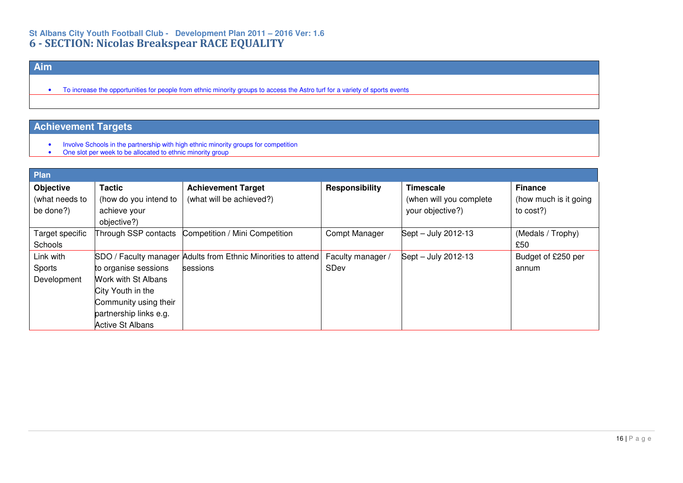# **St Albans City Youth Football Club - Development Plan 2011 – 2016 Ver: 1.6 6 - SECTION: Nicolas Breakspear RACE EQUALITY**

# **Aim**

• To increase the opportunities for people from ethnic minority groups to access the Astro turf for a variety of sports events

- 
- Involve Schools in the partnership with high ethnic minority groups for competition One slot per week to be allocated to ethnic minority group

| Plan             |                        |                                                               |                      |                         |                        |
|------------------|------------------------|---------------------------------------------------------------|----------------------|-------------------------|------------------------|
| <b>Objective</b> | <b>Tactic</b>          | <b>Achievement Target</b>                                     | Responsibility       | <b>Timescale</b>        | <b>Finance</b>         |
| (what needs to   | (how do you intend to  | (what will be achieved?)                                      |                      | (when will you complete | (how much is it going) |
| be done?)        | achieve your           |                                                               |                      | your objective?)        | to cost?)              |
|                  | objective?)            |                                                               |                      |                         |                        |
| Target specific  |                        | Through SSP contacts Competition / Mini Competition           | <b>Compt Manager</b> | Sept - July 2012-13     | (Medals / Trophy)      |
| Schools          |                        |                                                               |                      |                         | £50                    |
| Link with        |                        | SDO / Faculty manager Adults from Ethnic Minorities to attend | Faculty manager /    | Sept - July 2012-13     | Budget of £250 per     |
| Sports           | to organise sessions   | sessions                                                      | SDev                 |                         | annum                  |
| Development      | Work with St Albans    |                                                               |                      |                         |                        |
|                  | City Youth in the      |                                                               |                      |                         |                        |
|                  | Community using their  |                                                               |                      |                         |                        |
|                  | partnership links e.g. |                                                               |                      |                         |                        |
|                  | Active St Albans       |                                                               |                      |                         |                        |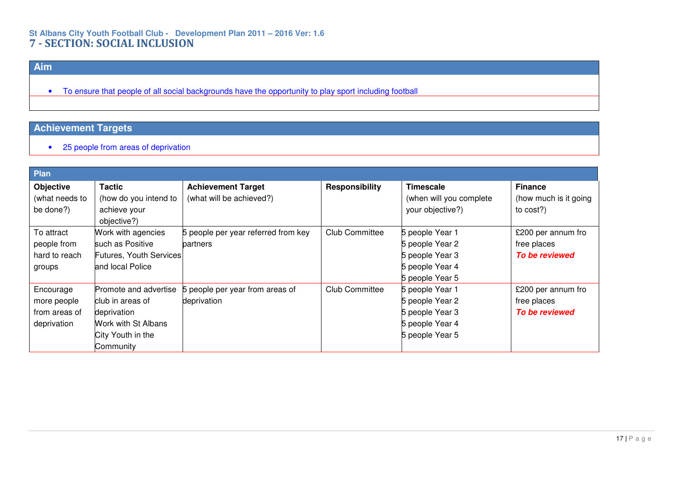# **St Albans City Youth Football Club - Development Plan 2011 – 2016 Ver: 1.6 7 - SECTION: SOCIAL INCLUSION**

# **Aim**

• To ensure that people of all social backgrounds have the opportunity to play sport including football

# **Achievement Targets**

• 25 people from areas of deprivation

| Plan             |                         |                                     |                       |                         |                       |
|------------------|-------------------------|-------------------------------------|-----------------------|-------------------------|-----------------------|
| <b>Objective</b> | <b>Tactic</b>           | <b>Achievement Target</b>           | Responsibility        | <b>Timescale</b>        | <b>Finance</b>        |
| (what needs to   | (how do you intend to   | (what will be achieved?)            |                       | (when will you complete | (how much is it going |
| be done?)        | achieve your            |                                     |                       | your objective?)        | to cost?)             |
|                  | objective?)             |                                     |                       |                         |                       |
| To attract       | Work with agencies      | 5 people per year referred from key | <b>Club Committee</b> | 5 people Year 1         | £200 per annum fro    |
| people from      | such as Positive        | partners                            |                       | 5 people Year 2         | free places           |
| hard to reach    | Futures, Youth Services |                                     |                       | 5 people Year 3         | To be reviewed        |
| groups           | and local Police        |                                     |                       | 5 people Year 4         |                       |
|                  |                         |                                     |                       | 5 people Year 5         |                       |
| Encourage        | Promote and advertise   | 5 people per year from areas of     | <b>Club Committee</b> | 5 people Year 1         | £200 per annum fro    |
| more people      | club in areas of        | deprivation                         |                       | 5 people Year 2         | free places           |
| from areas of    | deprivation             |                                     |                       | 5 people Year 3         | <b>To be reviewed</b> |
| deprivation      | Work with St Albans     |                                     |                       | 5 people Year 4         |                       |
|                  | City Youth in the       |                                     |                       | 5 people Year 5         |                       |
|                  | Community               |                                     |                       |                         |                       |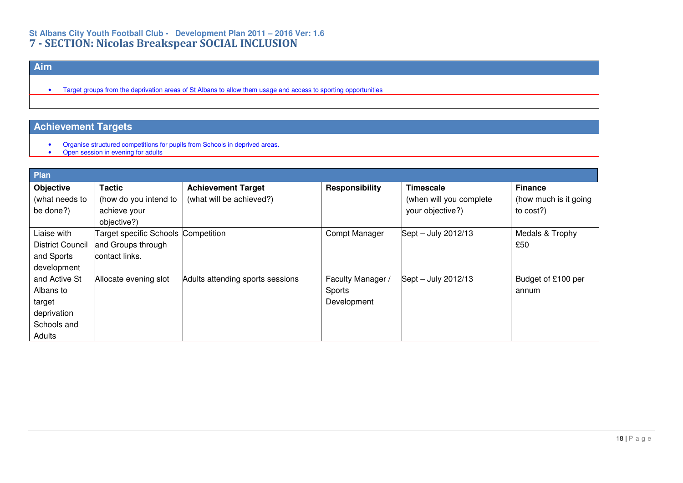# **St Albans City Youth Football Club - Development Plan 2011 – 2016 Ver: 1.6 7 - SECTION: Nicolas Breakspear SOCIAL INCLUSION**

# **Aim**

• Target groups from the deprivation areas of St Albans to allow them usage and access to sporting opportunities

- Organise structured competitions for pupils from Schools in deprived areas.<br>• Open session in evening for adults
- Open session in evening for adults

| Plan                    |                                     |                                  |                   |                         |                       |
|-------------------------|-------------------------------------|----------------------------------|-------------------|-------------------------|-----------------------|
| <b>Objective</b>        | <b>Tactic</b>                       | <b>Achievement Target</b>        | Responsibility    | <b>Timescale</b>        | <b>Finance</b>        |
| (what needs to          | (how do you intend to               | (what will be achieved?)         |                   | (when will you complete | (how much is it going |
| be done?)               | achieve your                        |                                  |                   | your objective?)        | to cost?)             |
|                         | objective?)                         |                                  |                   |                         |                       |
| Liaise with             | Target specific Schools Competition |                                  | Compt Manager     | Sept - July 2012/13     | Medals & Trophy       |
| <b>District Council</b> | and Groups through                  |                                  |                   |                         | £50                   |
| and Sports              | contact links.                      |                                  |                   |                         |                       |
| development             |                                     |                                  |                   |                         |                       |
| and Active St           | Allocate evening slot               | Adults attending sports sessions | Faculty Manager / | Sept - July 2012/13     | Budget of £100 per    |
| Albans to               |                                     |                                  | Sports            |                         | annum                 |
| target                  |                                     |                                  | Development       |                         |                       |
| deprivation             |                                     |                                  |                   |                         |                       |
| Schools and             |                                     |                                  |                   |                         |                       |
| Adults                  |                                     |                                  |                   |                         |                       |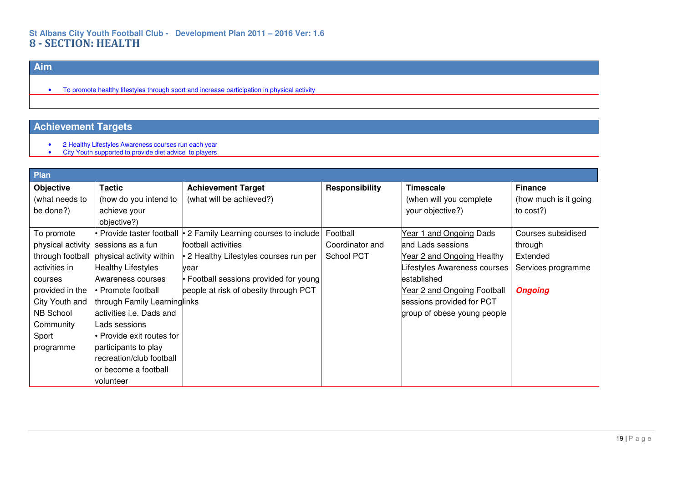# **Aim**

• To promote healthy lifestyles through sport and increase participation in physical activity

- 
- 2 Healthy Lifestyles Awareness courses run each year City Youth supported to provide diet advice to players

| Plan              |                              |                                        |                   |                              |                       |
|-------------------|------------------------------|----------------------------------------|-------------------|------------------------------|-----------------------|
| <b>Objective</b>  | <b>Tactic</b>                | <b>Achievement Target</b>              | Responsibility    | <b>Timescale</b>             | <b>Finance</b>        |
| (what needs to    | (how do you intend to        | (what will be achieved?)               |                   | (when will you complete      | (how much is it going |
| be done?)         | achieve your                 |                                        |                   | your objective?)             | to cost?)             |
|                   | objective?)                  |                                        |                   |                              |                       |
| To promote        | • Provide taster football    | • 2 Family Learning courses to include | Football          | Year 1 and Ongoing Dads      | Courses subsidised    |
| physical activity | sessions as a fun            | football activities                    | Coordinator and   | and Lads sessions            | through               |
| through football  | physical activity within     | • 2 Healthy Lifestyles courses run per | <b>School PCT</b> | Year 2 and Ongoing Healthy   | Extended              |
| activities in     | <b>Healthy Lifestyles</b>    | year                                   |                   | Lifestyles Awareness courses | Services programme    |
| courses           | Awareness courses            | • Football sessions provided for young |                   | lestablished                 |                       |
| provided in the   | • Promote football           | people at risk of obesity through PCT  |                   | Year 2 and Ongoing Football  | <b>Ongoing</b>        |
| City Youth and    | through Family Learninglinks |                                        |                   | sessions provided for PCT    |                       |
| NB School         | activities i.e. Dads and     |                                        |                   | group of obese young people  |                       |
| Community         | Lads sessions                |                                        |                   |                              |                       |
| Sport             | • Provide exit routes for    |                                        |                   |                              |                       |
| programme         | participants to play         |                                        |                   |                              |                       |
|                   | recreation/club football     |                                        |                   |                              |                       |
|                   | or become a football         |                                        |                   |                              |                       |
|                   | volunteer                    |                                        |                   |                              |                       |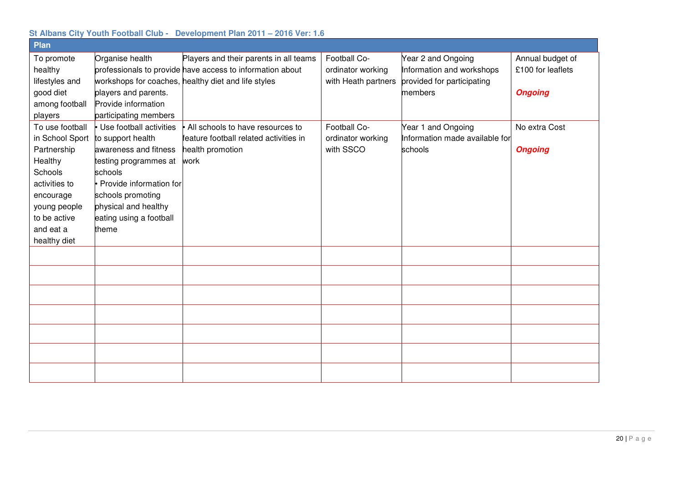| St Albans City Youth Football Club - Development Plan 2011 - 2016 Ver: 1.6 |
|----------------------------------------------------------------------------|
|                                                                            |

| Plan                         |                                  |                                                           |                     |                                |                   |
|------------------------------|----------------------------------|-----------------------------------------------------------|---------------------|--------------------------------|-------------------|
| To promote                   | Organise health                  | Players and their parents in all teams                    | Football Co-        | Year 2 and Ongoing             | Annual budget of  |
| healthy                      |                                  | professionals to provide have access to information about | ordinator working   | Information and workshops      | £100 for leaflets |
| lifestyles and               |                                  | workshops for coaches, healthy diet and life styles       | with Heath partners | provided for participating     |                   |
| good diet                    | players and parents.             |                                                           |                     | members                        | <b>Ongoing</b>    |
| among football               | Provide information              |                                                           |                     |                                |                   |
| players                      | participating members            |                                                           |                     |                                |                   |
| To use football              | • Use football activities        | • All schools to have resources to                        | Football Co-        | Year 1 and Ongoing             | No extra Cost     |
| in School Sport              | to support health                | feature football related activities in                    | ordinator working   | Information made available for |                   |
| Partnership                  | awareness and fitness            | health promotion                                          | with SSCO           | schools                        | <b>Ongoing</b>    |
| Healthy                      | testing programmes at            | work                                                      |                     |                                |                   |
| Schools                      | schools                          |                                                           |                     |                                |                   |
| activities to                | • Provide information for        |                                                           |                     |                                |                   |
| encourage                    | schools promoting                |                                                           |                     |                                |                   |
| young people<br>to be active | physical and healthy             |                                                           |                     |                                |                   |
| and eat a                    | eating using a football<br>theme |                                                           |                     |                                |                   |
| healthy diet                 |                                  |                                                           |                     |                                |                   |
|                              |                                  |                                                           |                     |                                |                   |
|                              |                                  |                                                           |                     |                                |                   |
|                              |                                  |                                                           |                     |                                |                   |
|                              |                                  |                                                           |                     |                                |                   |
|                              |                                  |                                                           |                     |                                |                   |
|                              |                                  |                                                           |                     |                                |                   |
|                              |                                  |                                                           |                     |                                |                   |
|                              |                                  |                                                           |                     |                                |                   |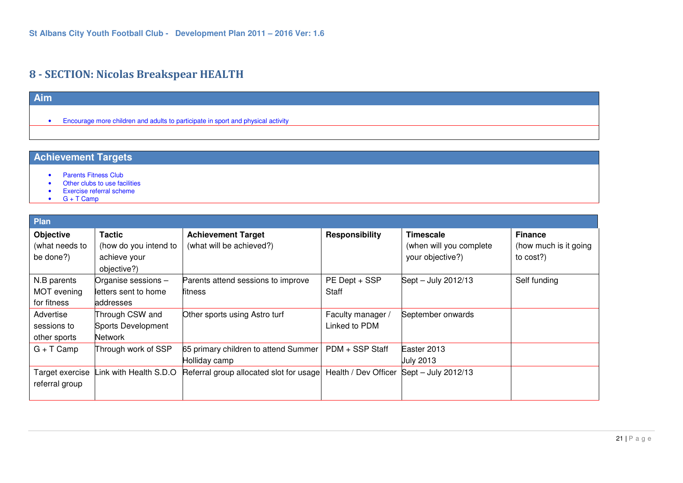# **8 - SECTION: Nicolas Breakspear HEALTH**

| Aim |                                                                                  |
|-----|----------------------------------------------------------------------------------|
|     | Encourage more children and adults to participate in sport and physical activity |
|     |                                                                                  |

- Parents Fitness Club
- Other clubs to use facilities
- Exercise referral scheme
- $\bullet$  G + T Camp

| Plan            |                        |                                         |                      |                         |                       |
|-----------------|------------------------|-----------------------------------------|----------------------|-------------------------|-----------------------|
| Objective       | <b>Tactic</b>          | <b>Achievement Target</b>               | Responsibility       | <b>Timescale</b>        | <b>Finance</b>        |
| (what needs to  | (how do you intend to  | (what will be achieved?)                |                      | (when will you complete | (how much is it going |
| be done?)       | achieve your           |                                         |                      | your objective?)        | to cost?)             |
|                 | objective?)            |                                         |                      |                         |                       |
| N.B parents     | Organise sessions -    | Parents attend sessions to improve      | PE Dept + SSP        | Sept - July 2012/13     | Self funding          |
| MOT evening     | letters sent to home   | fitness                                 | <b>Staff</b>         |                         |                       |
| for fitness     | laddresses             |                                         |                      |                         |                       |
| Advertise       | Through CSW and        | Other sports using Astro turf           | Faculty manager /    | September onwards       |                       |
| sessions to     | Sports Development     |                                         | Linked to PDM        |                         |                       |
| other sports    | <b>Network</b>         |                                         |                      |                         |                       |
| $G + T$ Camp    | Through work of SSP    | 65 primary children to attend Summer    | PDM + SSP Staff      | Easter 2013             |                       |
|                 |                        | Holliday camp                           |                      | <b>July 2013</b>        |                       |
| Target exercise | Link with Health S.D.O | Referral group allocated slot for usage | Health / Dev Officer | Sept - July 2012/13     |                       |
| referral group  |                        |                                         |                      |                         |                       |
|                 |                        |                                         |                      |                         |                       |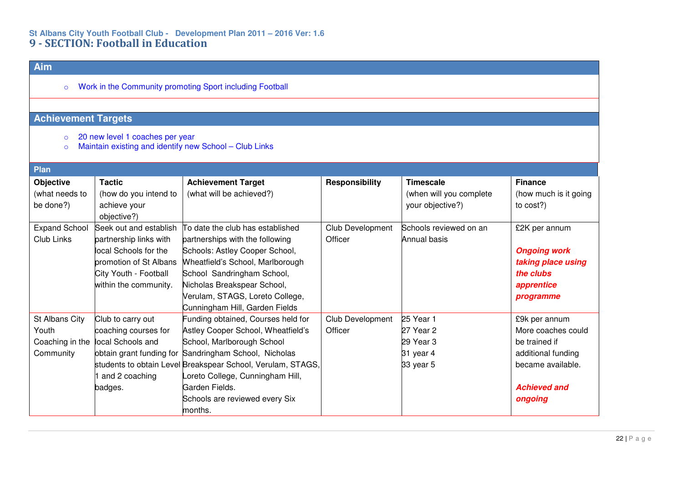# **St Albans City Youth Football Club - Development Plan 2011 – 2016 Ver: 1.6 9 - SECTION: Football in Education**

# **Aim**

o Work in the Community promoting Sport including Football

- 
- o 20 new level 1 coaches per year o Maintain existing and identify new School Club Links

| Plan                                                    |                                                                                                                                                       |                                                                                                                                                                                                                                                                                                          |                             |                                                                 |                                                                                                                                   |
|---------------------------------------------------------|-------------------------------------------------------------------------------------------------------------------------------------------------------|----------------------------------------------------------------------------------------------------------------------------------------------------------------------------------------------------------------------------------------------------------------------------------------------------------|-----------------------------|-----------------------------------------------------------------|-----------------------------------------------------------------------------------------------------------------------------------|
| <b>Objective</b><br>(what needs to<br>be done?)         | <b>Tactic</b><br>(how do you intend to<br>achieve your<br>objective?)                                                                                 | <b>Achievement Target</b><br>(what will be achieved?)                                                                                                                                                                                                                                                    | <b>Responsibility</b>       | <b>Timescale</b><br>(when will you complete<br>your objective?) | <b>Finance</b><br>(how much is it going<br>to cost?)                                                                              |
| <b>Expand School</b><br>Club Links                      | Seek out and establish<br>partnership links with<br>local Schools for the<br>promotion of St Albans<br>City Youth - Football<br>within the community. | To date the club has established<br>partnerships with the following<br>Schools: Astley Cooper School,<br>Wheatfield's School, Marlborough<br>School Sandringham School,<br>Nicholas Breakspear School,<br>Verulam, STAGS, Loreto College,<br>Cunningham Hill, Garden Fields                              | Club Development<br>Officer | Schools reviewed on an<br>Annual basis                          | £2K per annum<br><b>Ongoing work</b><br>taking place using<br>the clubs<br>apprentice<br>programme                                |
| St Albans City<br>Youth<br>Coaching in the<br>Community | Club to carry out<br>coaching courses for<br>local Schools and<br>obtain grant funding for<br>1 and 2 coaching<br>badges.                             | Funding obtained, Courses held for<br>Astley Cooper School, Wheatfield's<br>School, Marlborough School<br>Sandringham School, Nicholas<br>students to obtain Level Breakspear School, Verulam, STAGS,<br>Loreto College, Cunningham Hill,<br>Garden Fields.<br>Schools are reviewed every Six<br>months. | Club Development<br>Officer | 25 Year 1<br>27 Year 2<br>29 Year 3<br>31 year 4<br>33 year 5   | £9k per annum<br>More coaches could<br>be trained if<br>additional funding<br>became available.<br><b>Achieved and</b><br>ongoing |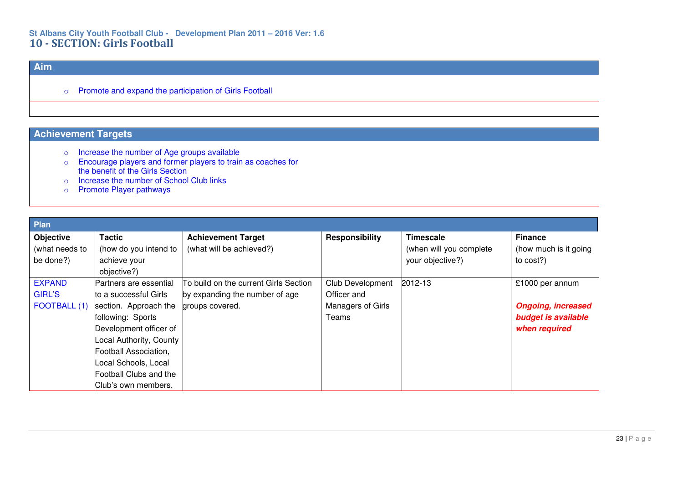# **St Albans City Youth Football Club - Development Plan 2011 – 2016 Ver: 1.6 10 - SECTION: Girls Football**

# **Aim**

 $\circ$  Promote and expand the participation of Girls Football

- 
- o Increase the number of Age groups available<br>
o Encourage players and former players to train as coaches for<br>
the benefit of the Girls Section<br>
o Increase the number of School Club links
- 
- o Promote Player pathways

| <b>Plan</b>    |                         |                                       |                         |                         |                            |
|----------------|-------------------------|---------------------------------------|-------------------------|-------------------------|----------------------------|
| Objective      | <b>Tactic</b>           | <b>Achievement Target</b>             | Responsibility          | <b>Timescale</b>        | <b>Finance</b>             |
| (what needs to | (how do you intend to   | (what will be achieved?)              |                         | (when will you complete | (how much is it going)     |
| be done?)      | achieve your            |                                       |                         | your objective?)        | to cost?)                  |
|                | objective?)             |                                       |                         |                         |                            |
| <b>EXPAND</b>  | Partners are essential  | To build on the current Girls Section | <b>Club Development</b> | 2012-13                 | £1000 per annum            |
| <b>GIRL'S</b>  | lto a successful Girls  | by expanding the number of age        | Officer and             |                         |                            |
| FOOTBALL (1)   | section. Approach the   | groups covered.                       | Managers of Girls       |                         | <b>Ongoing, increased</b>  |
|                | following: Sports       |                                       | Teams                   |                         | <b>budget is available</b> |
|                | Development officer of  |                                       |                         |                         | when required              |
|                | Local Authority, County |                                       |                         |                         |                            |
|                | Football Association,   |                                       |                         |                         |                            |
|                | Local Schools, Local    |                                       |                         |                         |                            |
|                | Football Clubs and the  |                                       |                         |                         |                            |
|                | Club's own members.     |                                       |                         |                         |                            |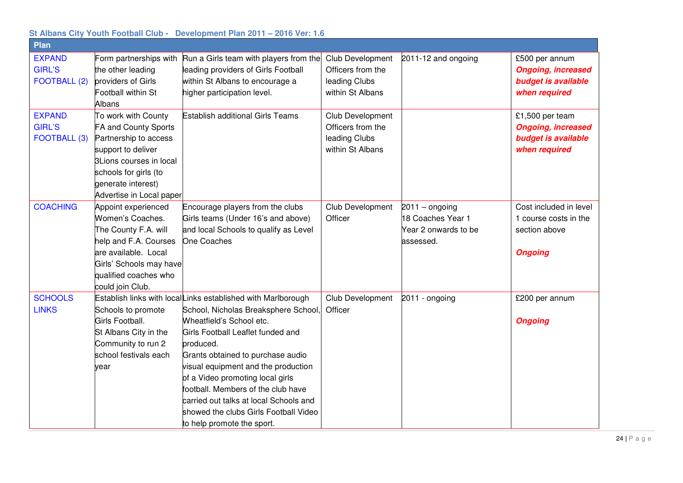| Plan                                                  |                                                                                                                                                                                                         |                                                                                                                                                                                                                                                                                                                                                                                                                                                           |                                                                            |                                                                            |                                                                                      |
|-------------------------------------------------------|---------------------------------------------------------------------------------------------------------------------------------------------------------------------------------------------------------|-----------------------------------------------------------------------------------------------------------------------------------------------------------------------------------------------------------------------------------------------------------------------------------------------------------------------------------------------------------------------------------------------------------------------------------------------------------|----------------------------------------------------------------------------|----------------------------------------------------------------------------|--------------------------------------------------------------------------------------|
| <b>EXPAND</b><br><b>GIRL'S</b><br>FOOTBALL (2)        | the other leading<br>providers of Girls<br>Football within St<br>Albans                                                                                                                                 | Form partnerships with Run a Girls team with players from the<br>leading providers of Girls Football<br>within St Albans to encourage a<br>higher participation level.                                                                                                                                                                                                                                                                                    | Club Development<br>Officers from the<br>leading Clubs<br>within St Albans | 2011-12 and ongoing                                                        | £500 per annum<br><b>Ongoing, increased</b><br>budget is available<br>when required  |
| <b>EXPAND</b><br><b>GIRL'S</b><br><b>FOOTBALL (3)</b> | To work with County<br><b>FA and County Sports</b><br>Partnership to access<br>support to deliver<br>3Lions courses in local<br>schools for girls (to<br>generate interest)<br>Advertise in Local paper | <b>Establish additional Girls Teams</b>                                                                                                                                                                                                                                                                                                                                                                                                                   | Club Development<br>Officers from the<br>leading Clubs<br>within St Albans |                                                                            | £1,500 per team<br><b>Ongoing, increased</b><br>budget is available<br>when required |
| <b>COACHING</b>                                       | Appoint experienced<br>Women's Coaches.<br>The County F.A. will<br>help and F.A. Courses<br>are available. Local<br>Girls' Schools may have<br>qualified coaches who<br>could join Club.                | Encourage players from the clubs<br>Girls teams (Under 16's and above)<br>and local Schools to qualify as Level<br>One Coaches                                                                                                                                                                                                                                                                                                                            | Club Development<br>Officer                                                | $2011 -$ ongoing<br>18 Coaches Year 1<br>Year 2 onwards to be<br>assessed. | Cost included in level<br>1 course costs in the<br>section above<br><b>Ongoing</b>   |
| <b>SCHOOLS</b><br><b>LINKS</b>                        | Schools to promote<br>Girls Football.<br>St Albans City in the<br>Community to run 2<br>school festivals each<br>year                                                                                   | Establish links with localLinks established with Marlborough<br>School, Nicholas Breaksphere School,<br>Wheatfield's School etc.<br>Girls Football Leaflet funded and<br>produced.<br>Grants obtained to purchase audio<br>visual equipment and the production<br>of a Video promoting local girls<br>football. Members of the club have<br>carried out talks at local Schools and<br>showed the clubs Girls Football Video<br>to help promote the sport. | Club Development<br>Officer                                                | 2011 - ongoing                                                             | £200 per annum<br><b>Ongoing</b>                                                     |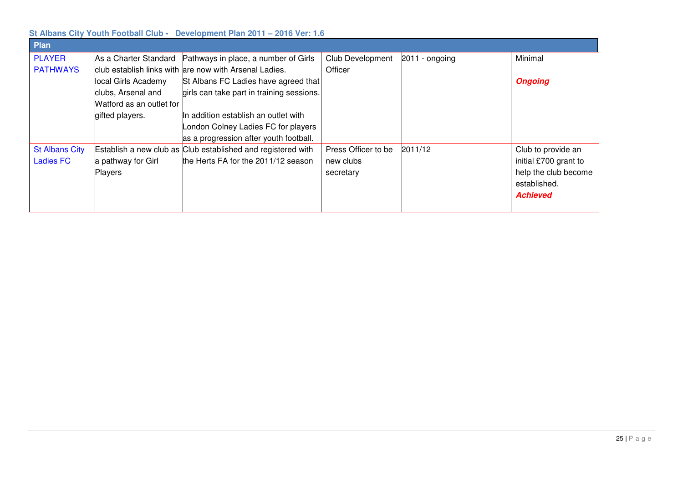| Plan                                      |                                                                                                                   |                                                                                                                                                                                                                                                                                                             |                                               |                  |                                                                                                        |
|-------------------------------------------|-------------------------------------------------------------------------------------------------------------------|-------------------------------------------------------------------------------------------------------------------------------------------------------------------------------------------------------------------------------------------------------------------------------------------------------------|-----------------------------------------------|------------------|--------------------------------------------------------------------------------------------------------|
| <b>PLAYER</b><br><b>PATHWAYS</b>          | As a Charter Standard<br>local Girls Academy<br>clubs, Arsenal and<br>Watford as an outlet for<br>gifted players. | Pathways in place, a number of Girls<br>club establish links with are now with Arsenal Ladies.<br>St Albans FC Ladies have agreed that<br>girls can take part in training sessions.<br>In addition establish an outlet with<br>ondon Colney Ladies FC for players<br>as a progression after youth football. | <b>Club Development</b><br>Officer            | $2011 -$ ongoing | Minimal<br><b>Ongoing</b>                                                                              |
| <b>St Albans City</b><br><b>Ladies FC</b> | a pathway for Girl<br>Players                                                                                     | Establish a new club as Club established and registered with<br>the Herts FA for the 2011/12 season                                                                                                                                                                                                         | Press Officer to be<br>new clubs<br>secretary | 2011/12          | Club to provide an<br>initial £700 grant to<br>help the club become<br>established.<br><b>Achieved</b> |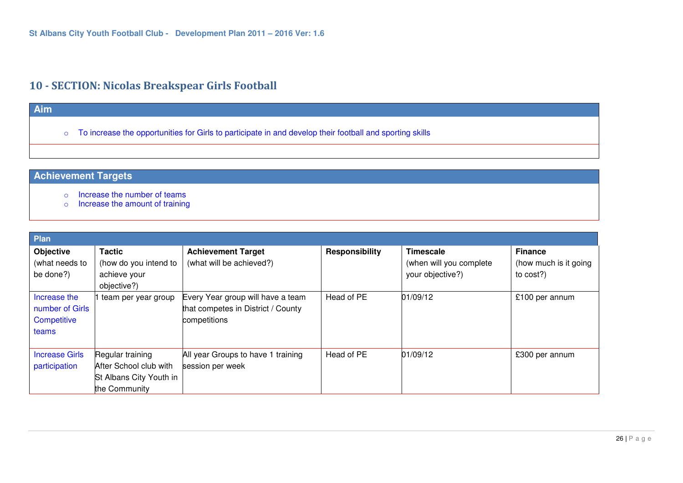# **10 - SECTION: Nicolas Breakspear Girls Football**

# o To increase the opportunities for Girls to participate in and develop their football and sporting skills

**Achievement Targets** 

**Aim** 

- o Increase the number of teams
- o Increase the amount of training

| Plan                                                    |                                                                                        |                                                                                         |                |                                                                 |                                                       |
|---------------------------------------------------------|----------------------------------------------------------------------------------------|-----------------------------------------------------------------------------------------|----------------|-----------------------------------------------------------------|-------------------------------------------------------|
| Objective<br>(what needs to<br>be done?)                | <b>Tactic</b><br>(how do you intend to<br>achieve your<br>objective?)                  | <b>Achievement Target</b><br>(what will be achieved?)                                   | Responsibility | <b>Timescale</b><br>(when will you complete<br>your objective?) | <b>Finance</b><br>(how much is it going)<br>to cost?) |
| Increase the<br>number of Girls<br>Competitive<br>teams | 1 team per year group                                                                  | Every Year group will have a team<br>that competes in District / County<br>competitions | Head of PE     | 01/09/12                                                        | £100 per annum                                        |
| <b>Increase Girls</b><br>participation                  | Regular training<br>After School club with<br>St Albans City Youth in<br>the Community | All year Groups to have 1 training<br>session per week                                  | Head of PE     | 01/09/12                                                        | £300 per annum                                        |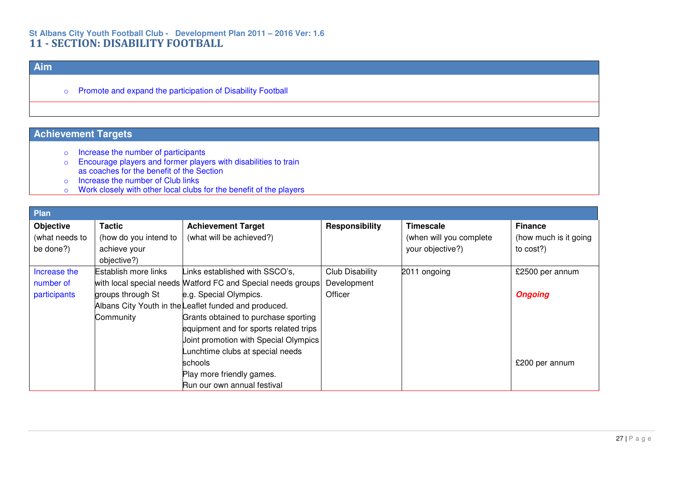# **St Albans City Youth Football Club - Development Plan 2011 – 2016 Ver: 1.6 11 - SECTION: DISABILITY FOOTBALL**

# **Aim**

o Promote and expand the participation of Disability Football

- 
- o Increase the number of participants o Encourage players and former players with disabilities to train as coaches for the benefit of the Section
- o Increase the number of Club links
- $\circ$  Work closely with other local clubs for the benefit of the players

| Plan             |                       |                                                              |                        |                         |                        |
|------------------|-----------------------|--------------------------------------------------------------|------------------------|-------------------------|------------------------|
| <b>Objective</b> | <b>Tactic</b>         | <b>Achievement Target</b>                                    | Responsibility         | <b>Timescale</b>        | <b>Finance</b>         |
| (what needs to   | (how do you intend to | (what will be achieved?)                                     |                        | (when will you complete | (how much is it going) |
| be done?)        | achieve your          |                                                              |                        | your objective?)        | to cost?)              |
|                  | objective?)           |                                                              |                        |                         |                        |
| Increase the     | Establish more links  | Links established with SSCO's,                               | <b>Club Disability</b> | 2011 ongoing            | £2500 per annum        |
| number of        |                       | with local special needs Watford FC and Special needs groups | Development            |                         |                        |
| participants     | groups through St     | e.g. Special Olympics.                                       | Officer                |                         | <b>Ongoing</b>         |
|                  |                       | Albans City Youth in the Leaflet funded and produced.        |                        |                         |                        |
|                  | Community             | Grants obtained to purchase sporting                         |                        |                         |                        |
|                  |                       | equipment and for sports related trips                       |                        |                         |                        |
|                  |                       | Joint promotion with Special Olympics                        |                        |                         |                        |
|                  |                       | Lunchtime clubs at special needs                             |                        |                         |                        |
|                  |                       | schools                                                      |                        |                         | £200 per annum         |
|                  |                       | Play more friendly games.                                    |                        |                         |                        |
|                  |                       | Run our own annual festival                                  |                        |                         |                        |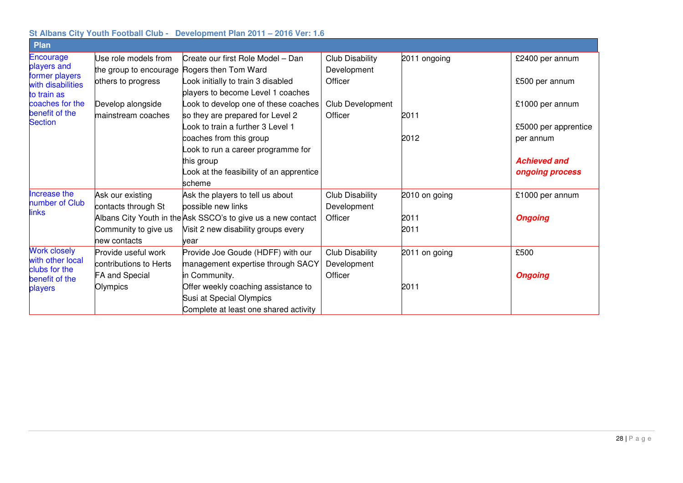|                                   |                        | 50 AIDAHS CITY TOULII FOOLDAH CIUD - DEVEIOPHIEHT FIAH ZUTT – ZUTO VEI . 1.0 |                        |               |                      |
|-----------------------------------|------------------------|------------------------------------------------------------------------------|------------------------|---------------|----------------------|
| Plan                              |                        |                                                                              |                        |               |                      |
| Encourage                         | Use role models from   | Create our first Role Model - Dan                                            | <b>Club Disability</b> | 2011 ongoing  | £2400 per annum      |
| players and<br>former players     | the group to encourage | Rogers then Tom Ward                                                         | Development            |               |                      |
| with disabilities                 | others to progress     | Look initially to train 3 disabled                                           | Officer                |               | £500 per annum       |
| to train as                       |                        | players to become Level 1 coaches                                            |                        |               |                      |
| coaches for the                   | Develop alongside      | Look to develop one of these coaches                                         | Club Development       |               | £1000 per annum      |
| benefit of the                    | mainstream coaches     | so they are prepared for Level 2                                             | Officer                | 2011          |                      |
| <b>Section</b>                    |                        | Look to train a further 3 Level 1                                            |                        |               | £5000 per apprentice |
|                                   |                        | coaches from this group                                                      |                        | 2012          | per annum            |
|                                   |                        | Look to run a career programme for                                           |                        |               |                      |
|                                   |                        | this group                                                                   |                        |               | <b>Achieved and</b>  |
|                                   |                        | Look at the feasibility of an apprentice                                     |                        |               | ongoing process      |
|                                   |                        | scheme                                                                       |                        |               |                      |
| Increase the                      | Ask our existing       | Ask the players to tell us about                                             | <b>Club Disability</b> | 2010 on going | £1000 per annum      |
| number of Club<br>links           | contacts through St    | possible new links                                                           | Development            |               |                      |
|                                   |                        | Albans City Youth in the Ask SSCO's to give us a new contact                 | Officer                | 2011          | <b>Ongoing</b>       |
|                                   | Community to give us   | Visit 2 new disability groups every                                          |                        | 2011          |                      |
|                                   | new contacts           | vear                                                                         |                        |               |                      |
| <b>Work closely</b>               | Provide useful work    | Provide Joe Goude (HDFF) with our                                            | <b>Club Disability</b> | 2011 on going | £500                 |
| with other local<br>clubs for the | contributions to Herts | management expertise through SACY                                            | Development            |               |                      |
| benefit of the                    | <b>FA and Special</b>  | in Community.                                                                | Officer                |               | <b>Ongoing</b>       |
| players                           | Olympics               | Offer weekly coaching assistance to                                          |                        | 2011          |                      |
|                                   |                        | Susi at Special Olympics                                                     |                        |               |                      |
|                                   |                        | Complete at least one shared activity                                        |                        |               |                      |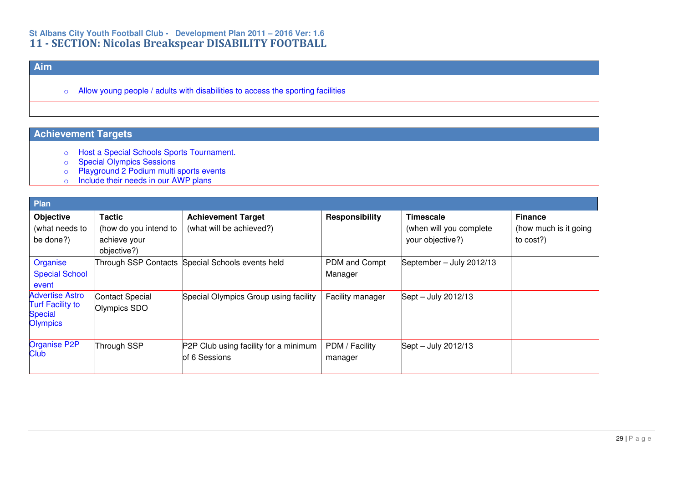# **St Albans City Youth Football Club - Development Plan 2011 – 2016 Ver: 1.6 11 - SECTION: Nicolas Breakspear DISABILITY FOOTBALL**

# **Aim**

o Allow young people / adults with disabilities to access the sporting facilities

- 
- 
- o Bost a Special Schools Sports Tournament.<br>
o Special Olympics Sessions<br>
o Playground 2 Podium multi sports events<br>
o Include their needs in our AWP plans
- 

| Plan                                                                            |                                                                       |                                                        |                           |                                                                 |                                                      |
|---------------------------------------------------------------------------------|-----------------------------------------------------------------------|--------------------------------------------------------|---------------------------|-----------------------------------------------------------------|------------------------------------------------------|
| <b>Objective</b><br>(what needs to<br>be done?)                                 | <b>Tactic</b><br>(how do you intend to<br>achieve your<br>objective?) | <b>Achievement Target</b><br>(what will be achieved?)  | Responsibility            | <b>Timescale</b><br>(when will you complete<br>your objective?) | <b>Finance</b><br>(how much is it going<br>to cost?) |
| Organise<br><b>Special School</b><br>event                                      |                                                                       | Through SSP Contacts Special Schools events held       | PDM and Compt<br>Manager  | September - July 2012/13                                        |                                                      |
| <b>Advertise Astro</b><br><b>Turf Facility to</b><br>Special<br><b>Olympics</b> | Contact Special<br>Olympics SDO                                       | Special Olympics Group using facility                  | Facility manager          | Sept - July 2012/13                                             |                                                      |
| Organise P2P<br><b>Club</b>                                                     | Through SSP                                                           | P2P Club using facility for a minimum<br>of 6 Sessions | PDM / Facility<br>manager | Sept - July 2012/13                                             |                                                      |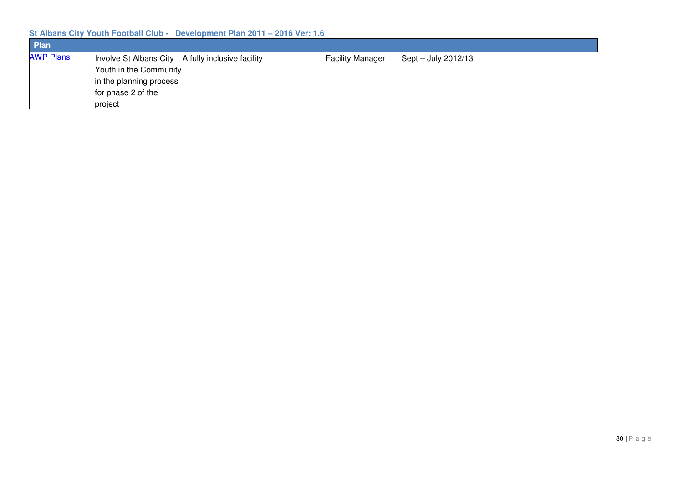| Plan             |                                                   |                         |                                     |  |
|------------------|---------------------------------------------------|-------------------------|-------------------------------------|--|
| <b>AWP Plans</b> | Involve St Albans City A fully inclusive facility | <b>Facility Manager</b> | $\text{Sept} - \text{July} 2012/13$ |  |
|                  | Youth in the Community                            |                         |                                     |  |
|                  | in the planning process                           |                         |                                     |  |
|                  | for phase 2 of the                                |                         |                                     |  |
|                  | project                                           |                         |                                     |  |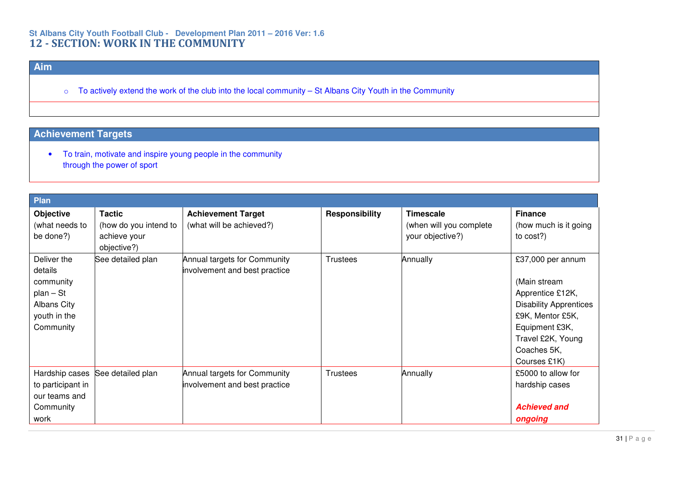# **St Albans City Youth Football Club - Development Plan 2011 – 2016 Ver: 1.6 12 - SECTION: WORK IN THE COMMUNITY**

# **Aim**

o To actively extend the work of the club into the local community – St Albans City Youth in the Community

# **Achievement Targets**

• To train, motivate and inspire young people in the community through the power of sport

| Plan                                                                                                  |                                                                       |                                                               |                       |                                                                 |                                                                                                                                                                                  |
|-------------------------------------------------------------------------------------------------------|-----------------------------------------------------------------------|---------------------------------------------------------------|-----------------------|-----------------------------------------------------------------|----------------------------------------------------------------------------------------------------------------------------------------------------------------------------------|
| Objective<br>(what needs to<br>be done?)                                                              | <b>Tactic</b><br>(how do you intend to<br>achieve your<br>objective?) | <b>Achievement Target</b><br>(what will be achieved?)         | <b>Responsibility</b> | <b>Timescale</b><br>(when will you complete<br>your objective?) | <b>Finance</b><br>(how much is it going<br>to cost?)                                                                                                                             |
| Deliver the<br>details<br>community<br>$plan - St$<br><b>Albans City</b><br>youth in the<br>Community | See detailed plan                                                     | Annual targets for Community<br>involvement and best practice | <b>Trustees</b>       | Annually                                                        | £37,000 per annum<br>(Main stream<br>Apprentice £12K,<br><b>Disability Apprentices</b><br>£9K, Mentor £5K,<br>Equipment £3K,<br>Travel £2K, Young<br>Coaches 5K,<br>Courses £1K) |
| Hardship cases<br>to participant in<br>our teams and<br>Community<br>work                             | See detailed plan                                                     | Annual targets for Community<br>involvement and best practice | <b>Trustees</b>       | Annually                                                        | £5000 to allow for<br>hardship cases<br><b>Achieved and</b><br>ongoing                                                                                                           |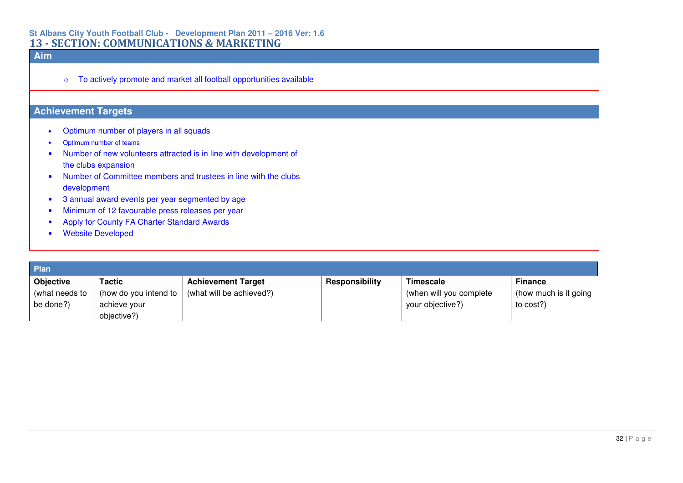# **St Albans City Youth Football Club - Development Plan 2011 – 2016 Ver: 1.6 13 - SECTION: COMMUNICATIONS & MARKETING**

# **Aim**

o To actively promote and market all football opportunities available

- •Optimum number of players in all squads
- Optimum number of teams
- Number of new volunteers attracted is in line with development of the clubs expansion
- Number of Committee members and trustees in line with the clubs development
- 3 annual award events per year segmented by age
- Minimum of 12 favourable press releases per year
- Apply for County FA Charter Standard Awards
- Website Developed

| <b>Plan</b>      |                       |                           |                       |                         |                        |
|------------------|-----------------------|---------------------------|-----------------------|-------------------------|------------------------|
| <b>Objective</b> | Tactic                | <b>Achievement Target</b> | <b>Responsibility</b> | Timescale               | <b>Finance</b>         |
| (what needs to   | (how do you intend to | (what will be achieved?)  |                       | (when will you complete | (how much is it going) |
| be done?)        | achieve vour          |                           |                       | your objective?)        | to cost?)              |
|                  | objective?)           |                           |                       |                         |                        |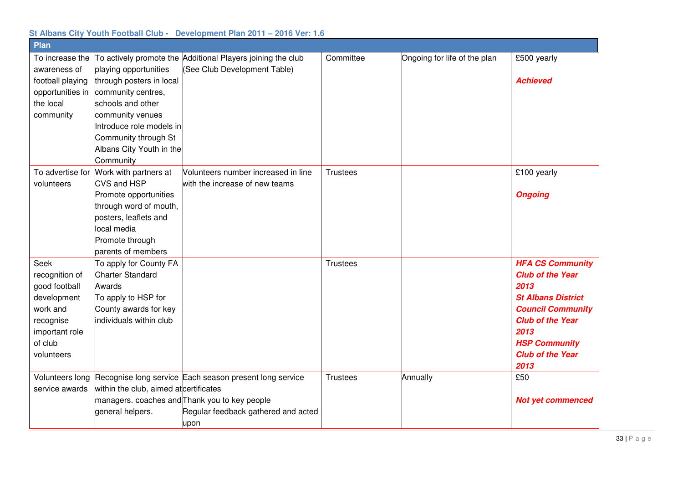| <b>Plan</b>      |                                        |                                                             |                 |                              |                           |
|------------------|----------------------------------------|-------------------------------------------------------------|-----------------|------------------------------|---------------------------|
| To increase the  |                                        | To actively promote the Additional Players joining the club | Committee       | Ongoing for life of the plan | £500 yearly               |
| awareness of     | playing opportunities                  | (See Club Development Table)                                |                 |                              |                           |
| football playing | through posters in local               |                                                             |                 |                              | <b>Achieved</b>           |
| opportunities in | community centres,                     |                                                             |                 |                              |                           |
| the local        | schools and other                      |                                                             |                 |                              |                           |
| community        | community venues                       |                                                             |                 |                              |                           |
|                  | Introduce role models in               |                                                             |                 |                              |                           |
|                  | Community through St                   |                                                             |                 |                              |                           |
|                  | Albans City Youth in the               |                                                             |                 |                              |                           |
|                  | Community                              |                                                             |                 |                              |                           |
| To advertise for | Work with partners at                  | Volunteers number increased in line                         | <b>Trustees</b> |                              | £100 yearly               |
| volunteers       | <b>CVS and HSP</b>                     | with the increase of new teams                              |                 |                              |                           |
|                  | Promote opportunities                  |                                                             |                 |                              | <b>Ongoing</b>            |
|                  | through word of mouth,                 |                                                             |                 |                              |                           |
|                  | posters, leaflets and                  |                                                             |                 |                              |                           |
|                  | local media                            |                                                             |                 |                              |                           |
|                  | Promote through<br>parents of members  |                                                             |                 |                              |                           |
| <b>Seek</b>      | To apply for County FA                 |                                                             | <b>Trustees</b> |                              | <b>HFA CS Community</b>   |
| recognition of   | <b>Charter Standard</b>                |                                                             |                 |                              | <b>Club of the Year</b>   |
| good football    | Awards                                 |                                                             |                 |                              | 2013                      |
| development      | To apply to HSP for                    |                                                             |                 |                              | <b>St Albans District</b> |
| work and         | County awards for key                  |                                                             |                 |                              | <b>Council Community</b>  |
| recognise        | individuals within club                |                                                             |                 |                              | <b>Club of the Year</b>   |
| important role   |                                        |                                                             |                 |                              | 2013                      |
| of club          |                                        |                                                             |                 |                              | <b>HSP Community</b>      |
| volunteers       |                                        |                                                             |                 |                              | <b>Club of the Year</b>   |
|                  |                                        |                                                             |                 |                              | 2013                      |
| Volunteers long  |                                        | Recognise long service Each season present long service     | <b>Trustees</b> | Annually                     | £50                       |
| service awards   | within the club, aimed at certificates |                                                             |                 |                              |                           |
|                  |                                        | managers. coaches and Thank you to key people               |                 |                              | <b>Not yet commenced</b>  |
|                  | general helpers.                       | Regular feedback gathered and acted                         |                 |                              |                           |
|                  |                                        | upon                                                        |                 |                              |                           |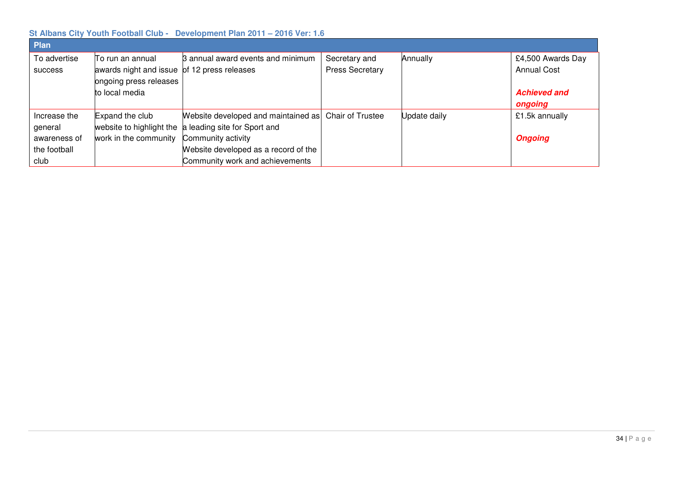| <b>Plan</b>    |                                                                       |                                      |                         |              |                     |
|----------------|-----------------------------------------------------------------------|--------------------------------------|-------------------------|--------------|---------------------|
| To advertise   | To run an annual                                                      | 3 annual award events and minimum    | Secretary and           | Annually     | £4,500 Awards Day   |
| <b>SUCCESS</b> | awards night and issue of 12 press releases<br>ongoing press releases |                                      | <b>Press Secretary</b>  |              | <b>Annual Cost</b>  |
|                | to local media                                                        |                                      |                         |              | <b>Achieved and</b> |
|                |                                                                       |                                      |                         |              | ongoing             |
| Increase the   | Expand the club                                                       | Website developed and maintained as  | <b>Chair of Trustee</b> | Update daily | £1.5k annually      |
| general        | website to highlight the                                              | a leading site for Sport and         |                         |              |                     |
| awareness of   | work in the community                                                 | Community activity                   |                         |              | <b>Ongoing</b>      |
| the football   |                                                                       | Website developed as a record of the |                         |              |                     |
| club           |                                                                       | Community work and achievements      |                         |              |                     |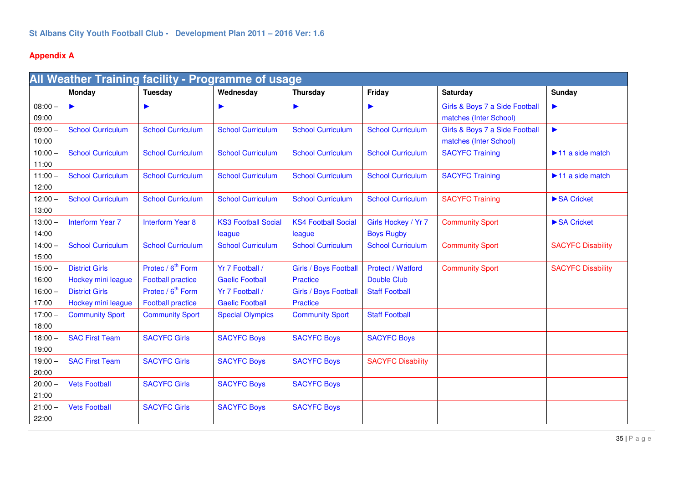# **Appendix A**

|           | All Weather Training facility - Programme of usage |                               |                            |                              |                          |                                |                                       |  |
|-----------|----------------------------------------------------|-------------------------------|----------------------------|------------------------------|--------------------------|--------------------------------|---------------------------------------|--|
|           | Monday                                             | <b>Tuesday</b>                | Wednesday                  | Thursday                     | Friday                   | Saturday                       | Sunday                                |  |
| $08:00 -$ | $\blacktriangleright$                              | ▶                             | ▶                          | ▶                            | ▶                        | Girls & Boys 7 a Side Football | $\blacktriangleright$                 |  |
| 09:00     |                                                    |                               |                            |                              |                          | matches (Inter School)         |                                       |  |
| $09:00 -$ | <b>School Curriculum</b>                           | <b>School Curriculum</b>      | <b>School Curriculum</b>   | <b>School Curriculum</b>     | <b>School Curriculum</b> | Girls & Boys 7 a Side Football | $\blacktriangleright$                 |  |
| 10:00     |                                                    |                               |                            |                              |                          | matches (Inter School)         |                                       |  |
| $10:00 -$ | <b>School Curriculum</b>                           | <b>School Curriculum</b>      | <b>School Curriculum</b>   | <b>School Curriculum</b>     | <b>School Curriculum</b> | <b>SACYFC Training</b>         | $\blacktriangleright$ 11 a side match |  |
| 11:00     |                                                    |                               |                            |                              |                          |                                |                                       |  |
| $11:00 -$ | <b>School Curriculum</b>                           | <b>School Curriculum</b>      | <b>School Curriculum</b>   | <b>School Curriculum</b>     | <b>School Curriculum</b> | <b>SACYFC Training</b>         | $\blacktriangleright$ 11 a side match |  |
| 12:00     |                                                    |                               |                            |                              |                          |                                |                                       |  |
| $12:00 -$ | <b>School Curriculum</b>                           | <b>School Curriculum</b>      | <b>School Curriculum</b>   | <b>School Curriculum</b>     | <b>School Curriculum</b> | <b>SACYFC Training</b>         | SA Cricket                            |  |
| 13:00     |                                                    |                               |                            |                              |                          |                                |                                       |  |
| $13:00 -$ | <b>Interform Year 7</b>                            | <b>Interform Year 8</b>       | <b>KS3 Football Social</b> | <b>KS4 Football Social</b>   | Girls Hockey / Yr 7      | <b>Community Sport</b>         | SA Cricket                            |  |
| 14:00     |                                                    |                               | league                     | league                       | <b>Boys Rugby</b>        |                                |                                       |  |
| $14:00 -$ | <b>School Curriculum</b>                           | <b>School Curriculum</b>      | <b>School Curriculum</b>   | <b>School Curriculum</b>     | <b>School Curriculum</b> | <b>Community Sport</b>         | <b>SACYFC Disability</b>              |  |
| 15:00     |                                                    |                               |                            |                              |                          |                                |                                       |  |
| $15:00 -$ | <b>District Girls</b>                              | Protec / 6 <sup>th</sup> Form | Yr 7 Football /            | <b>Girls / Boys Football</b> | Protect / Watford        | <b>Community Sport</b>         | <b>SACYFC Disability</b>              |  |
| 16:00     | Hockey mini league                                 | <b>Football practice</b>      | <b>Gaelic Football</b>     | <b>Practice</b>              | <b>Double Club</b>       |                                |                                       |  |
| $16:00 -$ | <b>District Girls</b>                              | Protec / 6 <sup>th</sup> Form | Yr 7 Football /            | Girls / Boys Football        | <b>Staff Football</b>    |                                |                                       |  |
| 17:00     | Hockey mini league                                 | <b>Football practice</b>      | <b>Gaelic Football</b>     | <b>Practice</b>              |                          |                                |                                       |  |
| $17:00 -$ | <b>Community Sport</b>                             | <b>Community Sport</b>        | <b>Special Olympics</b>    | <b>Community Sport</b>       | <b>Staff Football</b>    |                                |                                       |  |
| 18:00     |                                                    |                               |                            |                              |                          |                                |                                       |  |
| $18:00 -$ | <b>SAC First Team</b>                              | <b>SACYFC Girls</b>           | <b>SACYFC Boys</b>         | <b>SACYFC Boys</b>           | <b>SACYFC Boys</b>       |                                |                                       |  |
| 19:00     |                                                    |                               |                            |                              |                          |                                |                                       |  |
| $19:00 -$ | <b>SAC First Team</b>                              | <b>SACYFC Girls</b>           | <b>SACYFC Boys</b>         | <b>SACYFC Boys</b>           | <b>SACYFC Disability</b> |                                |                                       |  |
| 20:00     |                                                    |                               |                            |                              |                          |                                |                                       |  |
| $20:00 -$ | <b>Vets Football</b>                               | <b>SACYFC Girls</b>           | <b>SACYFC Boys</b>         | <b>SACYFC Boys</b>           |                          |                                |                                       |  |
| 21:00     |                                                    |                               |                            |                              |                          |                                |                                       |  |
| $21:00 -$ | <b>Vets Football</b>                               | <b>SACYFC Girls</b>           | <b>SACYFC Boys</b>         | <b>SACYFC Boys</b>           |                          |                                |                                       |  |
| 22:00     |                                                    |                               |                            |                              |                          |                                |                                       |  |